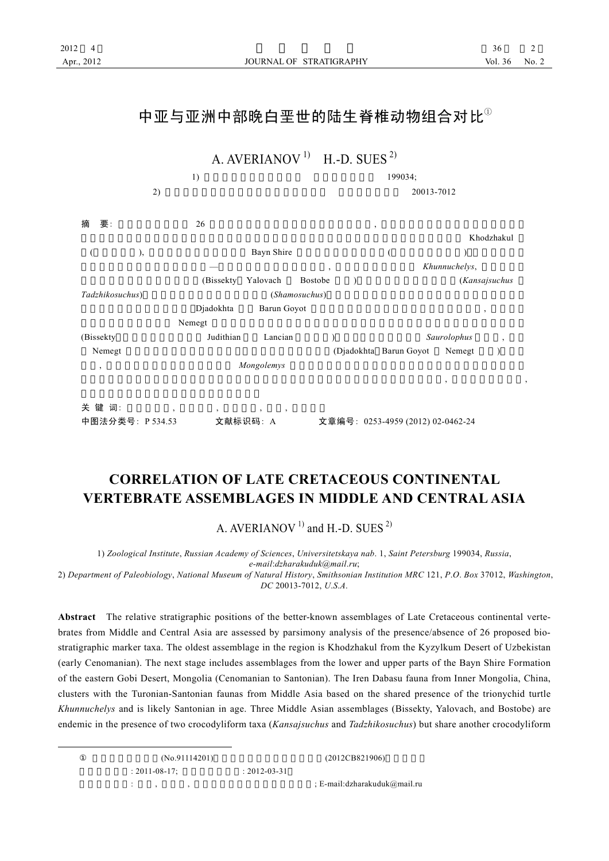# 中亚与亚洲中部晚白垩世的陆生脊椎动物组合对比①



# **CORRELATION OF LATE CRETACEOUS CONTINENTAL VERTEBRATE ASSEMBLAGES IN MIDDLE AND CENTRAL ASIA**

A. AVERIANOV<sup>1)</sup> and H.-D. SUES<sup>2)</sup>

1) *Zoological Institute*, *Russian Academy of Sciences*, *Universitetskaya nab*. 1, *Saint Petersburg* 199034, *Russia*,

*e-mail*:*dzharakuduk@mail*.*ru*;

2) *Department of Paleobiology*, *National Museum of Natural History*, *Smithsonian Institution MRC* 121, *P*.*O*. *Box* 37012, *Washington*, *DC* 20013-7012, *U*.*S*.*A*.

**Abstract** The relative stratigraphic positions of the better-known assemblages of Late Cretaceous continental vertebrates from Middle and Central Asia are assessed by parsimony analysis of the presence/absence of 26 proposed biostratigraphic marker taxa. The oldest assemblage in the region is Khodzhakul from the Kyzylkum Desert of Uzbekistan (early Cenomanian). The next stage includes assemblages from the lower and upper parts of the Bayn Shire Formation of the eastern Gobi Desert, Mongolia (Cenomanian to Santonian). The Iren Dabasu fauna from Inner Mongolia, China, clusters with the Turonian-Santonian faunas from Middle Asia based on the shared presence of the trionychid turtle *Khunnuchelys* and is likely Santonian in age. Three Middle Asian assemblages (Bissekty, Yalovach, and Bostobe) are endemic in the presence of two crocodyliform taxa (*Kansajsuchus* and *Tadzhikosuchus*) but share another crocodyliform

> $(N_0.91114201)$  (2012CB821906)  $: 2011-08-17;$   $: 2012-03-31$  $\therefore$  ,  $\therefore$  ,  $\therefore$   $\therefore$  E-mail:dzharakuduk $\textcircled{a}$ mail.ru

 $\overline{a}$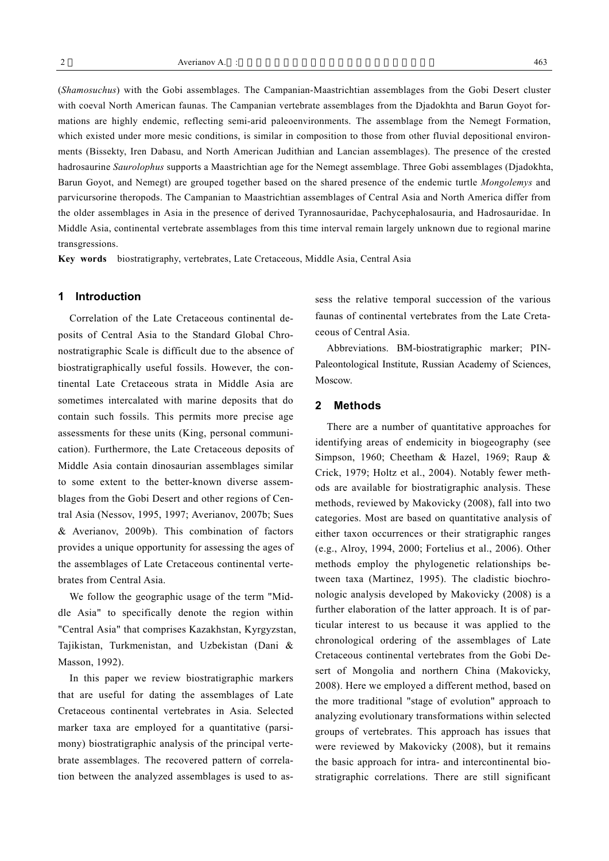(*Shamosuchus*) with the Gobi assemblages. The Campanian-Maastrichtian assemblages from the Gobi Desert cluster with coeval North American faunas. The Campanian vertebrate assemblages from the Djadokhta and Barun Goyot formations are highly endemic, reflecting semi-arid paleoenvironments. The assemblage from the Nemegt Formation, which existed under more mesic conditions, is similar in composition to those from other fluvial depositional environments (Bissekty, Iren Dabasu, and North American Judithian and Lancian assemblages). The presence of the crested hadrosaurine *Saurolophus* supports a Maastrichtian age for the Nemegt assemblage. Three Gobi assemblages (Djadokhta, Barun Goyot, and Nemegt) are grouped together based on the shared presence of the endemic turtle *Mongolemys* and parvicursorine theropods. The Campanian to Maastrichtian assemblages of Central Asia and North America differ from the older assemblages in Asia in the presence of derived Tyrannosauridae, Pachycephalosauria, and Hadrosauridae. In Middle Asia, continental vertebrate assemblages from this time interval remain largely unknown due to regional marine transgressions.

**Key words** biostratigraphy, vertebrates, Late Cretaceous, Middle Asia, Central Asia

# **1 Introduction**

Correlation of the Late Cretaceous continental deposits of Central Asia to the Standard Global Chronostratigraphic Scale is difficult due to the absence of biostratigraphically useful fossils. However, the continental Late Cretaceous strata in Middle Asia are sometimes intercalated with marine deposits that do contain such fossils. This permits more precise age assessments for these units (King, personal communication). Furthermore, the Late Cretaceous deposits of Middle Asia contain dinosaurian assemblages similar to some extent to the better-known diverse assemblages from the Gobi Desert and other regions of Central Asia (Nessov, 1995, 1997; Averianov, 2007b; Sues & Averianov, 2009b). This combination of factors provides a unique opportunity for assessing the ages of the assemblages of Late Cretaceous continental vertebrates from Central Asia.

We follow the geographic usage of the term "Middle Asia" to specifically denote the region within "Central Asia" that comprises Kazakhstan, Kyrgyzstan, Tajikistan, Turkmenistan, and Uzbekistan (Dani & Masson, 1992).

In this paper we review biostratigraphic markers that are useful for dating the assemblages of Late Cretaceous continental vertebrates in Asia. Selected marker taxa are employed for a quantitative (parsimony) biostratigraphic analysis of the principal vertebrate assemblages. The recovered pattern of correlation between the analyzed assemblages is used to assess the relative temporal succession of the various faunas of continental vertebrates from the Late Cretaceous of Central Asia.

Abbreviations. BM-biostratigraphic marker; PIN-Paleontological Institute, Russian Academy of Sciences, Moscow.

## **2 Methods**

There are a number of quantitative approaches for identifying areas of endemicity in biogeography (see Simpson, 1960; Cheetham & Hazel, 1969; Raup & Crick, 1979; Holtz et al., 2004). Notably fewer methods are available for biostratigraphic analysis. These methods, reviewed by Makovicky (2008), fall into two categories. Most are based on quantitative analysis of either taxon occurrences or their stratigraphic ranges (e.g., Alroy, 1994, 2000; Fortelius et al., 2006). Other methods employ the phylogenetic relationships between taxa (Martinez, 1995). The cladistic biochronologic analysis developed by Makovicky (2008) is a further elaboration of the latter approach. It is of particular interest to us because it was applied to the chronological ordering of the assemblages of Late Cretaceous continental vertebrates from the Gobi Desert of Mongolia and northern China (Makovicky, 2008). Here we employed a different method, based on the more traditional "stage of evolution" approach to analyzing evolutionary transformations within selected groups of vertebrates. This approach has issues that were reviewed by Makovicky (2008), but it remains the basic approach for intra- and intercontinental biostratigraphic correlations. There are still significant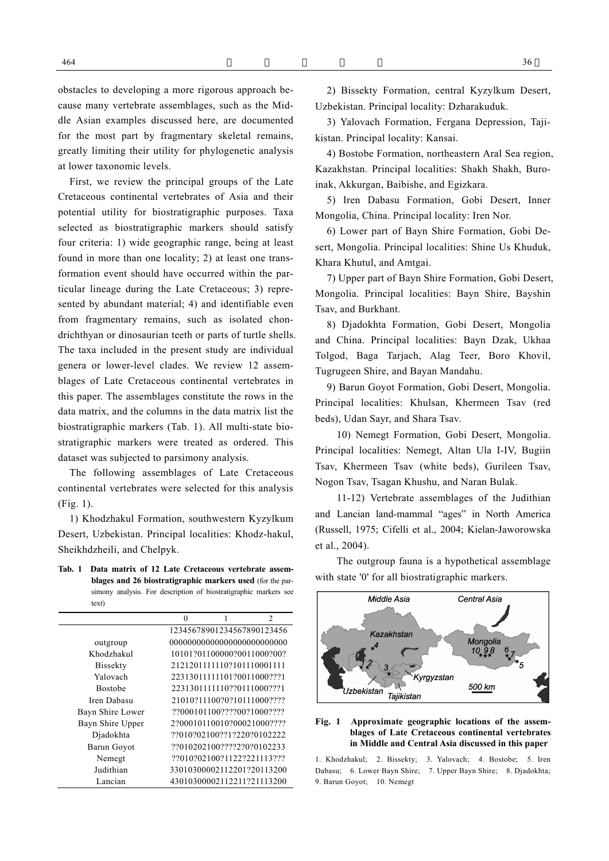First, we review the principal groups of the Late Cretaceous continental vertebrates of Asia and their potential utility for biostratigraphic purposes. Taxa selected as biostratigraphic markers should satisfy four criteria: 1) wide geographic range, being at least found in more than one locality; 2) at least one transformation event should have occurred within the particular lineage during the Late Cretaceous; 3) represented by abundant material; 4) and identifiable even from fragmentary remains, such as isolated chondrichthyan or dinosaurian teeth or parts of turtle shells. The taxa included in the present study are individual genera or lower-level clades. We review 12 assemblages of Late Cretaceous continental vertebrates in this paper. The assemblages constitute the rows in the data matrix, and the columns in the data matrix list the biostratigraphic markers (Tab. 1). All multi-state biostratigraphic markers were treated as ordered. This dataset was subjected to parsimony analysis.

The following assemblages of Late Cretaceous continental vertebrates were selected for this analysis (Fig. 1).

1) Khodzhakul Formation, southwestern Kyzylkum Desert, Uzbekistan. Principal localities: Khodz-hakul, Sheikhdzheili, and Chelpyk.

**Tab. 1 Data matrix of 12 Late Cretaceous vertebrate assemblages and 26 biostratigraphic markers used** (for the parsimony analysis. For description of biostratigraphic markers see text)

|                  | $\theta$ |                            | 2                           |
|------------------|----------|----------------------------|-----------------------------|
|                  |          |                            | 12345678901234567890123456  |
| outgroup         |          |                            | 000000000000000000000000000 |
| Khodzhakul       |          |                            | 10101201100000200110002002  |
| <b>Bissekty</b>  |          | 2121201111110?101110001111 |                             |
| Yalovach         |          | 22313011111101?0011000???1 |                             |
| <b>Bostobe</b>   |          | 2231301111110??0111000???1 |                             |
| Iren Dahasu      |          | 21010?11100?0?10111000???? |                             |
| Bayn Shire Lower |          | 22000101100222200210002222 |                             |
| Bayn Shire Upper |          |                            | 2?00010110010?00021000????  |
| Djadokhta        |          |                            | ??010?02100??1?220?0102222  |
| Barun Goyot      |          | ??010202100????2?0?0102233 |                             |
| Nemegt           |          | ??010?02100?1122?221113??? |                             |
| Judithian        |          |                            | 33010300002112201?20113200  |
| Lancian          |          |                            | 43010300002112211?21113200  |

2) Bissekty Formation, central Kyzylkum Desert, Uzbekistan. Principal locality: Dzharakuduk.

3) Yalovach Formation, Fergana Depression, Tajikistan. Principal locality: Kansai.

4) Bostobe Formation, northeastern Aral Sea region, Kazakhstan. Principal localities: Shakh Shakh, Buroinak, Akkurgan, Baibishe, and Egizkara.

5) Iren Dabasu Formation, Gobi Desert, Inner Mongolia, China. Principal locality: Iren Nor.

6) Lower part of Bayn Shire Formation, Gobi Desert, Mongolia. Principal localities: Shine Us Khuduk, Khara Khutul, and Amtgai.

7) Upper part of Bayn Shire Formation, Gobi Desert, Mongolia. Principal localities: Bayn Shire, Bayshin Tsav, and Burkhant.

8) Djadokhta Formation, Gobi Desert, Mongolia and China. Principal localities: Bayn Dzak, Ukhaa Tolgod, Baga Tarjach, Alag Teer, Boro Khovil, Tugrugeen Shire, and Bayan Mandahu.

9) Barun Goyot Formation, Gobi Desert, Mongolia. Principal localities: Khulsan, Khermeen Tsav (red beds), Udan Sayr, and Shara Tsav.

10) Nemegt Formation, Gobi Desert, Mongolia. Principal localities: Nemegt, Altan Ula I-IV, Bugiin Tsav, Khermeen Tsav (white beds), Gurileen Tsav, Nogon Tsav, Tsagan Khushu, and Naran Bulak.

11-12) Vertebrate assemblages of the Judithian and Lancian land-mammal "ages" in North America (Russell, 1975; Cifelli et al., 2004; Kielan-Jaworowska et al., 2004).

The outgroup fauna is a hypothetical assemblage with state '0' for all biostratigraphic markers.



#### **Fig. 1 Approximate geographic locations of the assemblages of Late Cretaceous continental vertebrates in Middle and Central Asia discussed in this paper**

1. Khodzhakul; 2. Bissekty; 3. Yalovach; 4. Bostobe; 5. Iren Dabasu; 6. Lower Bayn Shire; 7. Upper Bayn Shire; 8. Djadokhta; 9. Barun Goyot; 10. Nemegt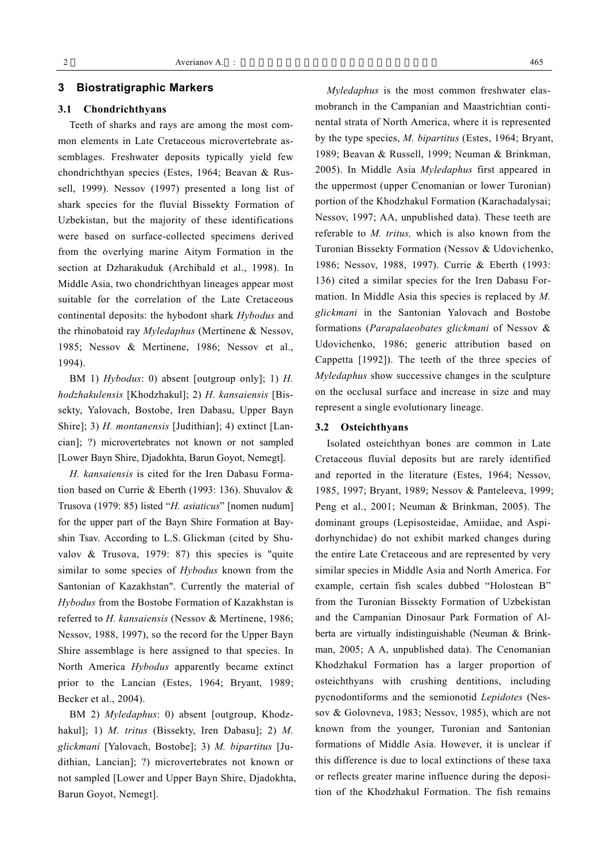## **3 Biostratigraphic Markers**

# **3.1 Chondrichthyans**

Teeth of sharks and rays are among the most common elements in Late Cretaceous microvertebrate assemblages. Freshwater deposits typically yield few chondrichthyan species (Estes, 1964; Beavan & Russell, 1999). Nessov (1997) presented a long list of shark species for the fluvial Bissekty Formation of Uzbekistan, but the majority of these identifications were based on surface-collected specimens derived from the overlying marine Aitym Formation in the section at Dzharakuduk (Archibald et al., 1998). In Middle Asia, two chondrichthyan lineages appear most suitable for the correlation of the Late Cretaceous continental deposits: the hybodont shark *Hybodus* and the rhinobatoid ray *Myledaphus* (Mertinene & Nessov, 1985; Nessov & Mertinene, 1986; Nessov et al., 1994).

BM 1) *Hybodus*: 0) absent [outgroup only]; 1) *H. hodzhakulensis* [Khodzhakul]; 2) *H. kansaiensis* [Bissekty, Yalovach, Bostobe, Iren Dabasu, Upper Bayn Shire]; 3) *H. montanensis* [Judithian]; 4) extinct [Lancian]; ?) microvertebrates not known or not sampled [Lower Bayn Shire, Djadokhta, Barun Goyot, Nemegt].

*H. kansaiensis* is cited for the Iren Dabasu Formation based on Currie & Eberth (1993: 136). Shuvalov & Trusova (1979: 85) listed "*H. asiaticus*" [nomen nudum] for the upper part of the Bayn Shire Formation at Bayshin Tsav. According to L.S. Glickman (cited by Shuvalov & Trusova, 1979: 87) this species is "quite similar to some species of *Hybodus* known from the Santonian of Kazakhstan". Currently the material of *Hybodus* from the Bostobe Formation of Kazakhstan is referred to *H. kansaiensis* (Nessov & Mertinene, 1986; Nessov, 1988, 1997), so the record for the Upper Bayn Shire assemblage is here assigned to that species. In North America *Hybodus* apparently became extinct prior to the Lancian (Estes, 1964; Bryant, 1989; Becker et al., 2004).

BM 2) *Myledaphus*: 0) absent [outgroup, Khodzhakul]; 1) *M. tritus* (Bissekty, Iren Dabasu]; 2) *M. glickmani* [Yalovach, Bostobe]; 3) *M. bipartitus* [Judithian, Lancian]; ?) microvertebrates not known or not sampled [Lower and Upper Bayn Shire, Djadokhta, Barun Goyot, Nemegt].

*Myledaphus* is the most common freshwater elasmobranch in the Campanian and Maastrichtian continental strata of North America, where it is represented by the type species, *M. bipartitus* (Estes, 1964; Bryant, 1989; Beavan & Russell, 1999; Neuman & Brinkman, 2005). In Middle Asia *Myledaphus* first appeared in the uppermost (upper Cenomanian or lower Turonian) portion of the Khodzhakul Formation (Karachadalysai; Nessov, 1997; AA, unpublished data). These teeth are referable to *M. tritus,* which is also known from the Turonian Bissekty Formation (Nessov & Udovichenko, 1986; Nessov, 1988, 1997). Currie & Eberth (1993: 136) cited a similar species for the Iren Dabasu Formation. In Middle Asia this species is replaced by *M. glickmani* in the Santonian Yalovach and Bostobe formations (*Parapalaeobates glickmani* of Nessov & Udovichenko, 1986; generic attribution based on Cappetta [1992]). The teeth of the three species of *Myledaphus* show successive changes in the sculpture on the occlusal surface and increase in size and may represent a single evolutionary lineage.

#### **3.2 Osteichthyans**

Isolated osteichthyan bones are common in Late Cretaceous fluvial deposits but are rarely identified and reported in the literature (Estes, 1964; Nessov, 1985, 1997; Bryant, 1989; Nessov & Panteleeva, 1999; Peng et al., 2001; Neuman & Brinkman, 2005). The dominant groups (Lepisosteidae, Amiidae, and Aspidorhynchidae) do not exhibit marked changes during the entire Late Cretaceous and are represented by very similar species in Middle Asia and North America. For example, certain fish scales dubbed "Holostean B" from the Turonian Bissekty Formation of Uzbekistan and the Campanian Dinosaur Park Formation of Alberta are virtually indistinguishable (Neuman & Brinkman, 2005; A A, unpublished data). The Cenomanian Khodzhakul Formation has a larger proportion of osteichthyans with crushing dentitions, including pycnodontiforms and the semionotid *Lepidotes* (Nessov & Golovneva, 1983; Nessov, 1985), which are not known from the younger, Turonian and Santonian formations of Middle Asia. However, it is unclear if this difference is due to local extinctions of these taxa or reflects greater marine influence during the deposition of the Khodzhakul Formation. The fish remains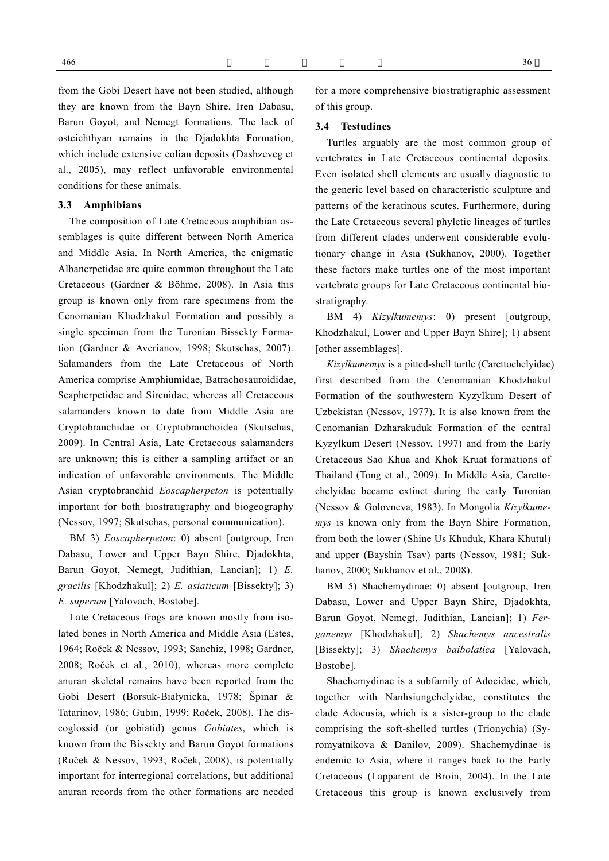from the Gobi Desert have not been studied, although they are known from the Bayn Shire, Iren Dabasu, Barun Goyot, and Nemegt formations. The lack of osteichthyan remains in the Djadokhta Formation, which include extensive eolian deposits (Dashzeveg et al., 2005), may reflect unfavorable environmental conditions for these animals.

#### **3.3 Amphibians**

The composition of Late Cretaceous amphibian assemblages is quite different between North America and Middle Asia. In North America, the enigmatic Albanerpetidae are quite common throughout the Late Cretaceous (Gardner & Böhme, 2008). In Asia this group is known only from rare specimens from the Cenomanian Khodzhakul Formation and possibly a single specimen from the Turonian Bissekty Formation (Gardner & Averianov, 1998; Skutschas, 2007). Salamanders from the Late Cretaceous of North America comprise Amphiumidae, Batrachosauroididae, Scapherpetidae and Sirenidae, whereas all Cretaceous salamanders known to date from Middle Asia are Cryptobranchidae or Cryptobranchoidea (Skutschas, 2009). In Central Asia, Late Cretaceous salamanders are unknown; this is either a sampling artifact or an indication of unfavorable environments. The Middle Asian cryptobranchid *Eoscapherpeton* is potentially important for both biostratigraphy and biogeography (Nessov, 1997; Skutschas, personal communication).

BM 3) *Eoscapherpeton*: 0) absent [outgroup, Iren Dabasu, Lower and Upper Bayn Shire, Djadokhta, Barun Goyot, Nemegt, Judithian, Lancian]; 1) *E. gracilis* [Khodzhakul]; 2) *E. asiaticum* [Bissekty]; 3) *E. superum* [Yalovach, Bostobe].

Late Cretaceous frogs are known mostly from isolated bones in North America and Middle Asia (Estes, 1964; Roček & Nessov, 1993; Sanchiz, 1998; Gardner, 2008; Roček et al., 2010), whereas more complete anuran skeletal remains have been reported from the Gobi Desert (Borsuk-Białynicka, 1978; Špinar & Tatarinov, 1986; Gubin, 1999; Roček, 2008). The discoglossid (or gobiatid) genus *Gobiates*, which is known from the Bissekty and Barun Goyot formations (Roček & Nessov, 1993; Roček, 2008), is potentially important for interregional correlations, but additional anuran records from the other formations are needed for a more comprehensive biostratigraphic assessment of this group.

#### **3.4 Testudines**

Turtles arguably are the most common group of vertebrates in Late Cretaceous continental deposits. Even isolated shell elements are usually diagnostic to the generic level based on characteristic sculpture and patterns of the keratinous scutes. Furthermore, during the Late Cretaceous several phyletic lineages of turtles from different clades underwent considerable evolutionary change in Asia (Sukhanov, 2000). Together these factors make turtles one of the most important vertebrate groups for Late Cretaceous continental biostratigraphy.

BM 4) *Kizylkumemys*: 0) present [outgroup, Khodzhakul, Lower and Upper Bayn Shire]; 1) absent [other assemblages].

*Kizylkumemys* is a pitted-shell turtle (Carettochelyidae) first described from the Cenomanian Khodzhakul Formation of the southwestern Kyzylkum Desert of Uzbekistan (Nessov, 1977). It is also known from the Cenomanian Dzharakuduk Formation of the central Kyzylkum Desert (Nessov, 1997) and from the Early Cretaceous Sao Khua and Khok Kruat formations of Thailand (Tong et al., 2009). In Middle Asia, Carettochelyidae became extinct during the early Turonian (Nessov & Golovneva, 1983). In Mongolia *Kizylkumemys* is known only from the Bayn Shire Formation, from both the lower (Shine Us Khuduk, Khara Khutul) and upper (Bayshin Tsav) parts (Nessov, 1981; Sukhanov, 2000; Sukhanov et al., 2008).

BM 5) Shachemydinae: 0) absent [outgroup, Iren Dabasu, Lower and Upper Bayn Shire, Djadokhta, Barun Goyot, Nemegt, Judithian, Lancian]; 1) *Ferganemys* [Khodzhakul]; 2) *Shachemys ancestralis* [Bissekty]; 3) *Shachemys baibolatica* [Yalovach, Bostobe].

Shachemydinae is a subfamily of Adocidae, which, together with Nanhsiungchelyidae, constitutes the clade Adocusia, which is a sister-group to the clade comprising the soft-shelled turtles (Trionychia) (Syromyatnikova & Danilov, 2009). Shachemydinae is endemic to Asia, where it ranges back to the Early Cretaceous (Lapparent de Broin, 2004). In the Late Cretaceous this group is known exclusively from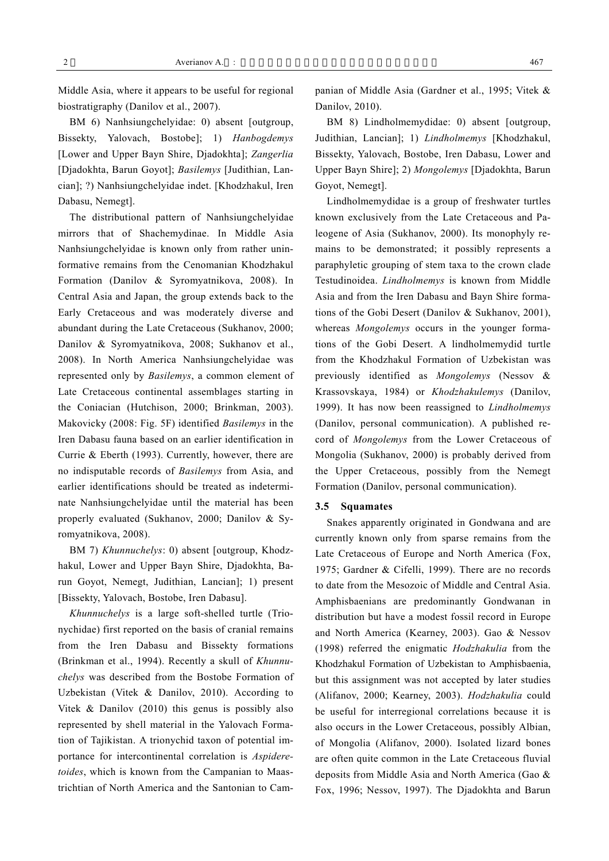Middle Asia, where it appears to be useful for regional biostratigraphy (Danilov et al., 2007).

BM 6) Nanhsiungchelyidae: 0) absent [outgroup, Bissekty, Yalovach, Bostobe]; 1) *Hanbogdemys* [Lower and Upper Bayn Shire, Djadokhta]; *Zangerlia* [Djadokhta, Barun Goyot]; *Basilemys* [Judithian, Lancian]; ?) Nanhsiungchelyidae indet. [Khodzhakul, Iren Dabasu, Nemegt].

The distributional pattern of Nanhsiungchelyidae mirrors that of Shachemydinae. In Middle Asia Nanhsiungchelyidae is known only from rather uninformative remains from the Cenomanian Khodzhakul Formation (Danilov & Syromyatnikova, 2008). In Central Asia and Japan, the group extends back to the Early Cretaceous and was moderately diverse and abundant during the Late Cretaceous (Sukhanov, 2000; Danilov & Syromyatnikova, 2008; Sukhanov et al., 2008). In North America Nanhsiungchelyidae was represented only by *Basilemys*, a common element of Late Cretaceous continental assemblages starting in the Coniacian (Hutchison, 2000; Brinkman, 2003). Makovicky (2008: Fig. 5F) identified *Basilemys* in the Iren Dabasu fauna based on an earlier identification in Currie & Eberth (1993). Currently, however, there are no indisputable records of *Basilemys* from Asia, and earlier identifications should be treated as indeterminate Nanhsiungchelyidae until the material has been properly evaluated (Sukhanov, 2000; Danilov & Syromyatnikova, 2008).

BM 7) *Khunnuchelys*: 0) absent [outgroup, Khodzhakul, Lower and Upper Bayn Shire, Djadokhta, Barun Goyot, Nemegt, Judithian, Lancian]; 1) present [Bissekty, Yalovach, Bostobe, Iren Dabasu].

*Khunnuchelys* is a large soft-shelled turtle (Trionychidae) first reported on the basis of cranial remains from the Iren Dabasu and Bissekty formations (Brinkman et al., 1994). Recently a skull of *Khunnuchelys* was described from the Bostobe Formation of Uzbekistan (Vitek & Danilov, 2010). According to Vitek & Danilov (2010) this genus is possibly also represented by shell material in the Yalovach Formation of Tajikistan. A trionychid taxon of potential importance for intercontinental correlation is *Aspideretoides*, which is known from the Campanian to Maastrichtian of North America and the Santonian to Campanian of Middle Asia (Gardner et al., 1995; Vitek & Danilov, 2010).

BM 8) Lindholmemydidae: 0) absent [outgroup, Judithian, Lancian]; 1) *Lindholmemys* [Khodzhakul, Bissekty, Yalovach, Bostobe, Iren Dabasu, Lower and Upper Bayn Shire]; 2) *Mongolemys* [Djadokhta, Barun Goyot, Nemegt].

Lindholmemydidae is a group of freshwater turtles known exclusively from the Late Cretaceous and Paleogene of Asia (Sukhanov, 2000). Its monophyly remains to be demonstrated; it possibly represents a paraphyletic grouping of stem taxa to the crown clade Testudinoidea. *Lindholmemys* is known from Middle Asia and from the Iren Dabasu and Bayn Shire formations of the Gobi Desert (Danilov & Sukhanov, 2001), whereas *Mongolemys* occurs in the younger formations of the Gobi Desert. A lindholmemydid turtle from the Khodzhakul Formation of Uzbekistan was previously identified as *Mongolemys* (Nessov & Krassovskaya, 1984) or *Khodzhakulemys* (Danilov, 1999). It has now been reassigned to *Lindholmemys* (Danilov, personal communication). A published record of *Mongolemys* from the Lower Cretaceous of Mongolia (Sukhanov, 2000) is probably derived from the Upper Cretaceous, possibly from the Nemegt Formation (Danilov, personal communication).

#### **3.5 Squamates**

Snakes apparently originated in Gondwana and are currently known only from sparse remains from the Late Cretaceous of Europe and North America (Fox, 1975; Gardner & Cifelli, 1999). There are no records to date from the Mesozoic of Middle and Central Asia. Amphisbaenians are predominantly Gondwanan in distribution but have a modest fossil record in Europe and North America (Kearney, 2003). Gao & Nessov (1998) referred the enigmatic *Hodzhakulia* from the Khodzhakul Formation of Uzbekistan to Amphisbaenia, but this assignment was not accepted by later studies (Alifanov, 2000; Kearney, 2003). *Hodzhakulia* could be useful for interregional correlations because it is also occurs in the Lower Cretaceous, possibly Albian, of Mongolia (Alifanov, 2000). Isolated lizard bones are often quite common in the Late Cretaceous fluvial deposits from Middle Asia and North America (Gao & Fox, 1996; Nessov, 1997). The Djadokhta and Barun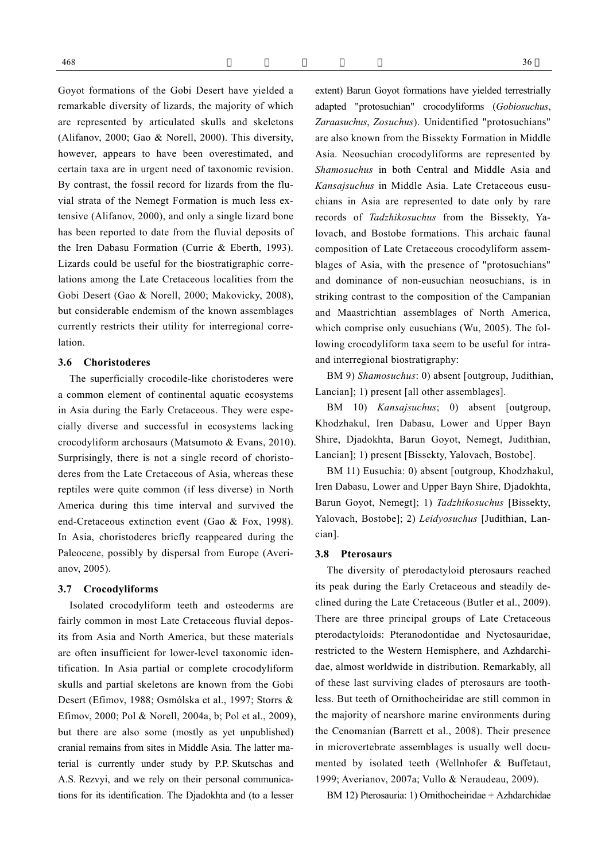Goyot formations of the Gobi Desert have yielded a remarkable diversity of lizards, the majority of which are represented by articulated skulls and skeletons (Alifanov, 2000; Gao & Norell, 2000). This diversity, however, appears to have been overestimated, and certain taxa are in urgent need of taxonomic revision. By contrast, the fossil record for lizards from the fluvial strata of the Nemegt Formation is much less extensive (Alifanov, 2000), and only a single lizard bone has been reported to date from the fluvial deposits of the Iren Dabasu Formation (Currie & Eberth, 1993). Lizards could be useful for the biostratigraphic correlations among the Late Cretaceous localities from the Gobi Desert (Gao & Norell, 2000; Makovicky, 2008), but considerable endemism of the known assemblages currently restricts their utility for interregional correlation.

# **3.6 Choristoderes**

The superficially crocodile-like choristoderes were a common element of continental aquatic ecosystems in Asia during the Early Cretaceous. They were especially diverse and successful in ecosystems lacking crocodyliform archosaurs (Matsumoto & Evans, 2010). Surprisingly, there is not a single record of choristoderes from the Late Cretaceous of Asia, whereas these reptiles were quite common (if less diverse) in North America during this time interval and survived the end-Cretaceous extinction event (Gao & Fox, 1998). In Asia, choristoderes briefly reappeared during the Paleocene, possibly by dispersal from Europe (Averianov, 2005).

# **3.7 Crocodyliforms**

Isolated crocodyliform teeth and osteoderms are fairly common in most Late Cretaceous fluvial deposits from Asia and North America, but these materials are often insufficient for lower-level taxonomic identification. In Asia partial or complete crocodyliform skulls and partial skeletons are known from the Gobi Desert (Efimov, 1988; Osmólska et al., 1997; Storrs & Efimov, 2000; Pol & Norell, 2004a, b; Pol et al., 2009), but there are also some (mostly as yet unpublished) cranial remains from sites in Middle Asia. The latter material is currently under study by P.P. Skutschas and A.S. Rezvyi, and we rely on their personal communications for its identification. The Djadokhta and (to a lesser

extent) Barun Goyot formations have yielded terrestrially adapted "protosuchian" crocodyliforms (*Gobiosuchus*, *Zaraasuchus*, *Zosuchus*). Unidentified "protosuchians" are also known from the Bissekty Formation in Middle Asia. Neosuchian crocodyliforms are represented by *Shamosuchus* in both Central and Middle Asia and *Kansajsuchus* in Middle Asia. Late Cretaceous eusuchians in Asia are represented to date only by rare

BM 9) *Shamosuchus*: 0) absent [outgroup, Judithian, Lancian]; 1) present [all other assemblages].

and interregional biostratigraphy:

records of *Tadzhikosuchus* from the Bissekty, Yalovach, and Bostobe formations. This archaic faunal composition of Late Cretaceous crocodyliform assemblages of Asia, with the presence of "protosuchians" and dominance of non-eusuchian neosuchians, is in striking contrast to the composition of the Campanian and Maastrichtian assemblages of North America, which comprise only eusuchians (Wu, 2005). The following crocodyliform taxa seem to be useful for intra-

BM 10) *Kansajsuchus*; 0) absent [outgroup, Khodzhakul, Iren Dabasu, Lower and Upper Bayn Shire, Djadokhta, Barun Goyot, Nemegt, Judithian, Lancian]; 1) present [Bissekty, Yalovach, Bostobe].

BM 11) Eusuchia: 0) absent [outgroup, Khodzhakul, Iren Dabasu, Lower and Upper Bayn Shire, Djadokhta, Barun Goyot, Nemegt]; 1) *Tadzhikosuchus* [Bissekty, Yalovach, Bostobe]; 2) *Leidyosuchus* [Judithian, Lancian].

## **3.8 Pterosaurs**

The diversity of pterodactyloid pterosaurs reached its peak during the Early Cretaceous and steadily declined during the Late Cretaceous (Butler et al., 2009). There are three principal groups of Late Cretaceous pterodactyloids: Pteranodontidae and Nyctosauridae, restricted to the Western Hemisphere, and Azhdarchidae, almost worldwide in distribution. Remarkably, all of these last surviving clades of pterosaurs are toothless. But teeth of Ornithocheiridae are still common in the majority of nearshore marine environments during the Cenomanian (Barrett et al., 2008). Their presence in microvertebrate assemblages is usually well documented by isolated teeth (Wellnhofer & Buffetaut, 1999; Averianov, 2007a; Vullo & Neraudeau, 2009).

BM 12) Pterosauria: 1) Ornithocheiridae + Azhdarchidae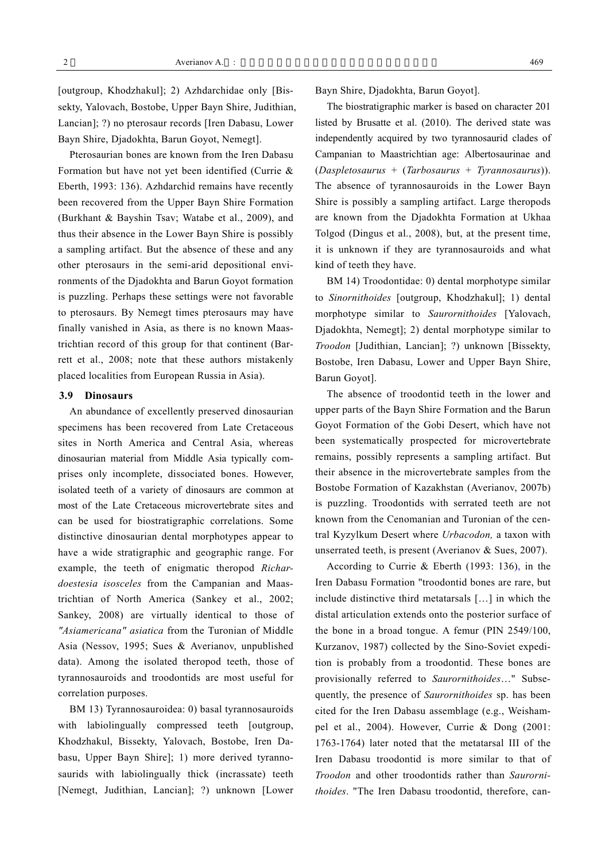[outgroup, Khodzhakul]; 2) Azhdarchidae only [Bissekty, Yalovach, Bostobe, Upper Bayn Shire, Judithian, Lancian]; ?) no pterosaur records [Iren Dabasu, Lower Bayn Shire, Djadokhta, Barun Goyot, Nemegt].

Pterosaurian bones are known from the Iren Dabasu Formation but have not yet been identified (Currie & Eberth, 1993: 136). Azhdarchid remains have recently been recovered from the Upper Bayn Shire Formation (Burkhant & Bayshin Tsav; Watabe et al., 2009), and thus their absence in the Lower Bayn Shire is possibly a sampling artifact. But the absence of these and any other pterosaurs in the semi-arid depositional environments of the Djadokhta and Barun Goyot formation is puzzling. Perhaps these settings were not favorable to pterosaurs. By Nemegt times pterosaurs may have finally vanished in Asia, as there is no known Maastrichtian record of this group for that continent (Barrett et al., 2008; note that these authors mistakenly placed localities from European Russia in Asia).

#### **3.9 Dinosaurs**

An abundance of excellently preserved dinosaurian specimens has been recovered from Late Cretaceous sites in North America and Central Asia, whereas dinosaurian material from Middle Asia typically comprises only incomplete, dissociated bones. However, isolated teeth of a variety of dinosaurs are common at most of the Late Cretaceous microvertebrate sites and can be used for biostratigraphic correlations. Some distinctive dinosaurian dental morphotypes appear to have a wide stratigraphic and geographic range. For example, the teeth of enigmatic theropod *Richardoestesia isosceles* from the Campanian and Maastrichtian of North America (Sankey et al., 2002; Sankey, 2008) are virtually identical to those of *"Asiamericana" asiatica* from the Turonian of Middle Asia (Nessov, 1995; Sues & Averianov, unpublished data). Among the isolated theropod teeth, those of tyrannosauroids and troodontids are most useful for correlation purposes.

BM 13) Tyrannosauroidea: 0) basal tyrannosauroids with labiolingually compressed teeth [outgroup, Khodzhakul, Bissekty, Yalovach, Bostobe, Iren Dabasu, Upper Bayn Shire]; 1) more derived tyrannosaurids with labiolingually thick (incrassate) teeth [Nemegt, Judithian, Lancian]; ?) unknown [Lower Bayn Shire, Djadokhta, Barun Goyot].

The biostratigraphic marker is based on character 201 listed by Brusatte et al. (2010). The derived state was independently acquired by two tyrannosaurid clades of Campanian to Maastrichtian age: Albertosaurinae and (*Daspletosaurus* + (*Tarbosaurus* + *Tyrannosaurus*)). The absence of tyrannosauroids in the Lower Bayn Shire is possibly a sampling artifact. Large theropods are known from the Djadokhta Formation at Ukhaa Tolgod (Dingus et al., 2008), but, at the present time, it is unknown if they are tyrannosauroids and what kind of teeth they have.

BM 14) Troodontidae: 0) dental morphotype similar to *Sinornithoides* [outgroup, Khodzhakul]; 1) dental morphotype similar to *Saurornithoides* [Yalovach, Djadokhta, Nemegt]; 2) dental morphotype similar to *Troodon* [Judithian, Lancian]; ?) unknown [Bissekty, Bostobe, Iren Dabasu, Lower and Upper Bayn Shire, Barun Goyot].

The absence of troodontid teeth in the lower and upper parts of the Bayn Shire Formation and the Barun Goyot Formation of the Gobi Desert, which have not been systematically prospected for microvertebrate remains, possibly represents a sampling artifact. But their absence in the microvertebrate samples from the Bostobe Formation of Kazakhstan (Averianov, 2007b) is puzzling. Troodontids with serrated teeth are not known from the Cenomanian and Turonian of the central Kyzylkum Desert where *Urbacodon,* a taxon with unserrated teeth, is present (Averianov & Sues, 2007).

According to Currie & Eberth (1993: 136), in the Iren Dabasu Formation "troodontid bones are rare, but include distinctive third metatarsals […] in which the distal articulation extends onto the posterior surface of the bone in a broad tongue. A femur (PIN 2549/100, Kurzanov, 1987) collected by the Sino-Soviet expedition is probably from a troodontid. These bones are provisionally referred to *Saurornithoides*…" Subsequently, the presence of *Saurornithoides* sp. has been cited for the Iren Dabasu assemblage (e.g., Weishampel et al., 2004). However, Currie & Dong (2001: 1763-1764) later noted that the metatarsal III of the Iren Dabasu troodontid is more similar to that of *Troodon* and other troodontids rather than *Saurornithoides*. "The Iren Dabasu troodontid, therefore, can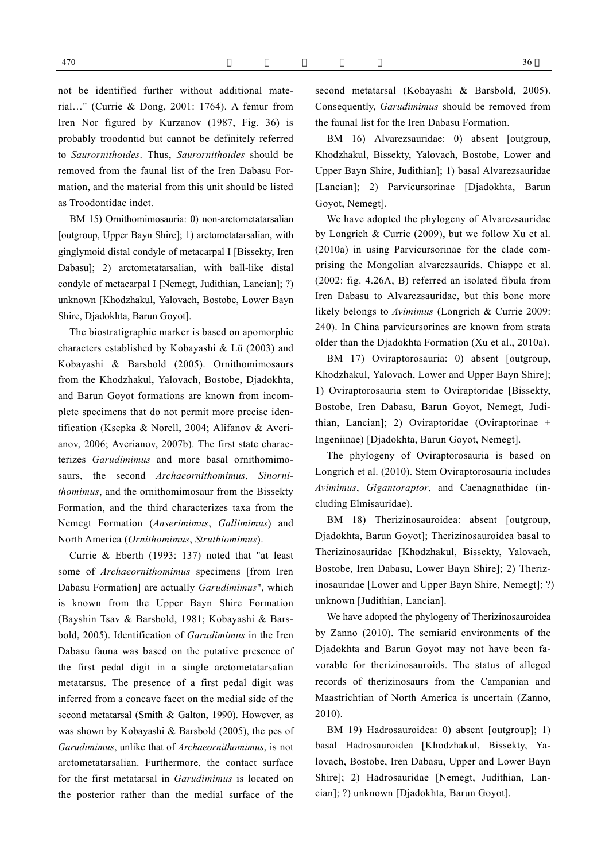not be identified further without additional material…" (Currie & Dong, 2001: 1764). A femur from Iren Nor figured by Kurzanov (1987, Fig. 36) is probably troodontid but cannot be definitely referred to *Saurornithoides*. Thus, *Saurornithoides* should be removed from the faunal list of the Iren Dabasu Formation, and the material from this unit should be listed as Troodontidae indet.

BM 15) Ornithomimosauria: 0) non-arctometatarsalian [outgroup, Upper Bayn Shire]; 1) arctometatarsalian, with ginglymoid distal condyle of metacarpal I [Bissekty, Iren Dabasu]; 2) arctometatarsalian, with ball-like distal condyle of metacarpal I [Nemegt, Judithian, Lancian]; ?) unknown [Khodzhakul, Yalovach, Bostobe, Lower Bayn Shire, Djadokhta, Barun Goyot].

The biostratigraphic marker is based on apomorphic characters established by Kobayashi & Lü (2003) and Kobayashi & Barsbold (2005). Ornithomimosaurs from the Khodzhakul, Yalovach, Bostobe, Djadokhta, and Barun Goyot formations are known from incomplete specimens that do not permit more precise identification (Ksepka & Norell, 2004; Alifanov & Averianov, 2006; Averianov, 2007b). The first state characterizes *Garudimimus* and more basal ornithomimosaurs, the second *Archaeornithomimus*, *Sinornithomimus*, and the ornithomimosaur from the Bissekty Formation, and the third characterizes taxa from the Nemegt Formation (*Anserimimus*, *Gallimimus*) and North America (*Ornithomimus*, *Struthiomimus*).

Currie & Eberth (1993: 137) noted that "at least some of *Archaeornithomimus* specimens [from Iren Dabasu Formation] are actually *Garudimimus*", which is known from the Upper Bayn Shire Formation (Bayshin Tsav & Barsbold, 1981; Kobayashi & Barsbold, 2005). Identification of *Garudimimus* in the Iren Dabasu fauna was based on the putative presence of the first pedal digit in a single arctometatarsalian metatarsus. The presence of a first pedal digit was inferred from a concave facet on the medial side of the second metatarsal (Smith & Galton, 1990). However, as was shown by Kobayashi & Barsbold (2005), the pes of *Garudimimus*, unlike that of *Archaeornithomimus*, is not arctometatarsalian. Furthermore, the contact surface for the first metatarsal in *Garudimimus* is located on the posterior rather than the medial surface of the

second metatarsal (Kobayashi & Barsbold, 2005). Consequently, *Garudimimus* should be removed from the faunal list for the Iren Dabasu Formation.

BM 16) Alvarezsauridae: 0) absent [outgroup, Khodzhakul, Bissekty, Yalovach, Bostobe, Lower and Upper Bayn Shire, Judithian]; 1) basal Alvarezsauridae [Lancian]; 2) Parvicursorinae [Djadokhta, Barun Goyot, Nemegt].

We have adopted the phylogeny of Alvarezsauridae by Longrich & Currie (2009), but we follow Xu et al. (2010a) in using Parvicursorinae for the clade comprising the Mongolian alvarezsaurids. Chiappe et al. (2002: fig. 4.26A, B) referred an isolated fibula from Iren Dabasu to Alvarezsauridae, but this bone more likely belongs to *Avimimus* (Longrich & Currie 2009: 240). In China parvicursorines are known from strata older than the Djadokhta Formation (Xu et al., 2010a).

BM 17) Oviraptorosauria: 0) absent [outgroup, Khodzhakul, Yalovach, Lower and Upper Bayn Shire]; 1) Oviraptorosauria stem to Oviraptoridae [Bissekty, Bostobe, Iren Dabasu, Barun Goyot, Nemegt, Judithian, Lancian]; 2) Oviraptoridae (Oviraptorinae + Ingeniinae) [Djadokhta, Barun Goyot, Nemegt].

The phylogeny of Oviraptorosauria is based on Longrich et al. (2010). Stem Oviraptorosauria includes *Avimimus*, *Gigantoraptor*, and Caenagnathidae (including Elmisauridae).

BM 18) Therizinosauroidea: absent [outgroup, Djadokhta, Barun Goyot]; Therizinosauroidea basal to Therizinosauridae [Khodzhakul, Bissekty, Yalovach, Bostobe, Iren Dabasu, Lower Bayn Shire]; 2) Therizinosauridae [Lower and Upper Bayn Shire, Nemegt]; ?) unknown [Judithian, Lancian].

We have adopted the phylogeny of Therizinosauroidea by Zanno (2010). The semiarid environments of the Djadokhta and Barun Goyot may not have been favorable for therizinosauroids. The status of alleged records of therizinosaurs from the Campanian and Maastrichtian of North America is uncertain (Zanno, 2010).

BM 19) Hadrosauroidea: 0) absent [outgroup]; 1) basal Hadrosauroidea [Khodzhakul, Bissekty, Yalovach, Bostobe, Iren Dabasu, Upper and Lower Bayn Shire]; 2) Hadrosauridae [Nemegt, Judithian, Lancian]; ?) unknown [Djadokhta, Barun Goyot].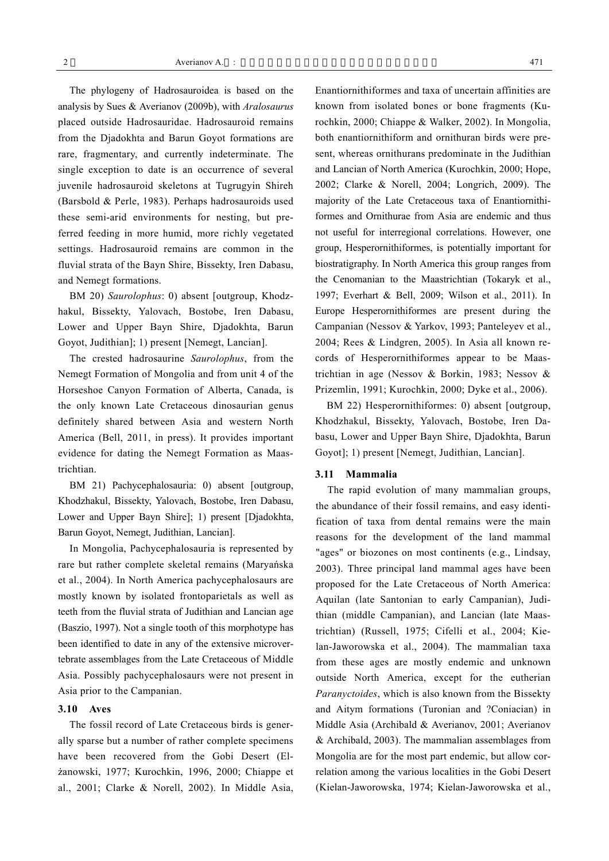The phylogeny of Hadrosauroidea is based on the analysis by Sues & Averianov (2009b), with *Aralosaurus* placed outside Hadrosauridae. Hadrosauroid remains from the Djadokhta and Barun Goyot formations are rare, fragmentary, and currently indeterminate. The single exception to date is an occurrence of several juvenile hadrosauroid skeletons at Tugrugyin Shireh (Barsbold & Perle, 1983). Perhaps hadrosauroids used these semi-arid environments for nesting, but preferred feeding in more humid, more richly vegetated settings. Hadrosauroid remains are common in the fluvial strata of the Bayn Shire, Bissekty, Iren Dabasu, and Nemegt formations.

BM 20) *Saurolophus*: 0) absent [outgroup, Khodzhakul, Bissekty, Yalovach, Bostobe, Iren Dabasu, Lower and Upper Bayn Shire, Djadokhta, Barun Goyot, Judithian]; 1) present [Nemegt, Lancian].

The crested hadrosaurine *Saurolophus*, from the Nemegt Formation of Mongolia and from unit 4 of the Horseshoe Canyon Formation of Alberta, Canada, is the only known Late Cretaceous dinosaurian genus definitely shared between Asia and western North America (Bell, 2011, in press). It provides important evidence for dating the Nemegt Formation as Maastrichtian.

BM 21) Pachycephalosauria: 0) absent [outgroup, Khodzhakul, Bissekty, Yalovach, Bostobe, Iren Dabasu, Lower and Upper Bayn Shire]; 1) present [Djadokhta, Barun Goyot, Nemegt, Judithian, Lancian].

In Mongolia, Pachycephalosauria is represented by rare but rather complete skeletal remains (Maryańska et al., 2004). In North America pachycephalosaurs are mostly known by isolated frontoparietals as well as teeth from the fluvial strata of Judithian and Lancian age (Baszio, 1997). Not a single tooth of this morphotype has been identified to date in any of the extensive microvertebrate assemblages from the Late Cretaceous of Middle Asia. Possibly pachycephalosaurs were not present in Asia prior to the Campanian.

#### **3.10 Aves**

The fossil record of Late Cretaceous birds is generally sparse but a number of rather complete specimens have been recovered from the Gobi Desert (Elżanowski, 1977; Kurochkin, 1996, 2000; Chiappe et al., 2001; Clarke & Norell, 2002). In Middle Asia, Enantiornithiformes and taxa of uncertain affinities are known from isolated bones or bone fragments (Kurochkin, 2000; Chiappe & Walker, 2002). In Mongolia, both enantiornithiform and ornithuran birds were present, whereas ornithurans predominate in the Judithian and Lancian of North America (Kurochkin, 2000; Hope, 2002; Clarke & Norell, 2004; Longrich, 2009). The majority of the Late Cretaceous taxa of Enantiornithiformes and Ornithurae from Asia are endemic and thus not useful for interregional correlations. However, one group, Hesperornithiformes, is potentially important for biostratigraphy. In North America this group ranges from the Cenomanian to the Maastrichtian (Tokaryk et al., 1997; Everhart & Bell, 2009; Wilson et al., 2011). In Europe Hesperornithiformes are present during the Campanian (Nessov & Yarkov, 1993; Panteleyev et al., 2004; Rees & Lindgren, 2005). In Asia all known records of Hesperornithiformes appear to be Maastrichtian in age (Nessov & Borkin, 1983; Nessov & Prizemlin, 1991; Kurochkin, 2000; Dyke et al., 2006).

BM 22) Hesperornithiformes: 0) absent [outgroup, Khodzhakul, Bissekty, Yalovach, Bostobe, Iren Dabasu, Lower and Upper Bayn Shire, Djadokhta, Barun Goyot]; 1) present [Nemegt, Judithian, Lancian].

#### **3.11 Mammalia**

The rapid evolution of many mammalian groups, the abundance of their fossil remains, and easy identification of taxa from dental remains were the main reasons for the development of the land mammal "ages" or biozones on most continents (e.g., Lindsay, 2003). Three principal land mammal ages have been proposed for the Late Cretaceous of North America: Aquilan (late Santonian to early Campanian), Judithian (middle Campanian), and Lancian (late Maastrichtian) (Russell, 1975; Cifelli et al., 2004; Kielan-Jaworowska et al., 2004). The mammalian taxa from these ages are mostly endemic and unknown outside North America, except for the eutherian *Paranyctoides*, which is also known from the Bissekty and Aitym formations (Turonian and ?Coniacian) in Middle Asia (Archibald & Averianov, 2001; Averianov & Archibald, 2003). The mammalian assemblages from Mongolia are for the most part endemic, but allow correlation among the various localities in the Gobi Desert (Kielan-Jaworowska, 1974; Kielan-Jaworowska et al.,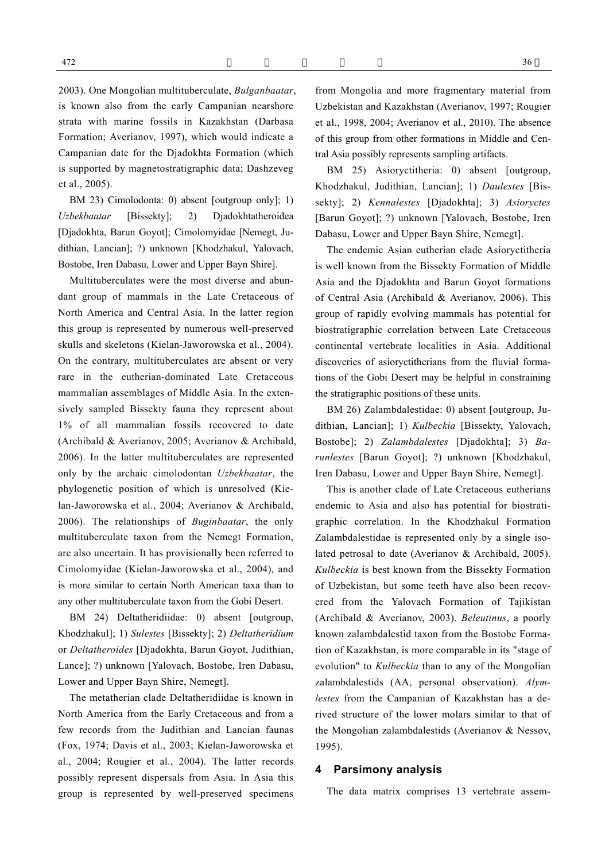2003). One Mongolian multituberculate, *Bulganbaatar*, is known also from the early Campanian nearshore strata with marine fossils in Kazakhstan (Darbasa Formation; Averianov, 1997), which would indicate a Campanian date for the Djadokhta Formation (which is supported by magnetostratigraphic data; Dashzeveg et al., 2005).

BM 23) Cimolodonta: 0) absent [outgroup only]; 1) *Uzbekbaatar* [Bissekty]; 2) Djadokhtatheroidea [Djadokhta, Barun Goyot]; Cimolomyidae [Nemegt, Judithian, Lancian]; ?) unknown [Khodzhakul, Yalovach, Bostobe, Iren Dabasu, Lower and Upper Bayn Shire].

Multituberculates were the most diverse and abundant group of mammals in the Late Cretaceous of North America and Central Asia. In the latter region this group is represented by numerous well-preserved skulls and skeletons (Kielan-Jaworowska et al., 2004). On the contrary, multituberculates are absent or very rare in the eutherian-dominated Late Cretaceous mammalian assemblages of Middle Asia. In the extensively sampled Bissekty fauna they represent about 1% of all mammalian fossils recovered to date (Archibald & Averianov, 2005; Averianov & Archibald, 2006). In the latter multituberculates are represented only by the archaic cimolodontan *Uzbekbaatar*, the phylogenetic position of which is unresolved (Kielan-Jaworowska et al., 2004; Averianov & Archibald, 2006). The relationships of *Buginbaatar*, the only multituberculate taxon from the Nemegt Formation, are also uncertain. It has provisionally been referred to Cimolomyidae (Kielan-Jaworowska et al., 2004), and is more similar to certain North American taxa than to any other multituberculate taxon from the Gobi Desert.

BM 24) Deltatheridiidae: 0) absent [outgroup, Khodzhakul]; 1) *Sulestes* [Bissekty]; 2) *Deltatheridium* or *Deltatheroides* [Djadokhta, Barun Goyot, Judithian, Lance]; ?) unknown [Yalovach, Bostobe, Iren Dabasu, Lower and Upper Bayn Shire, Nemegt].

The metatherian clade Deltatheridiidae is known in North America from the Early Cretaceous and from a few records from the Judithian and Lancian faunas (Fox, 1974; Davis et al., 2003; Kielan-Jaworowska et al., 2004; Rougier et al., 2004). The latter records possibly represent dispersals from Asia. In Asia this group is represented by well-preserved specimens from Mongolia and more fragmentary material from Uzbekistan and Kazakhstan (Averianov, 1997; Rougier et al., 1998, 2004; Averianov et al., 2010). The absence of this group from other formations in Middle and Central Asia possibly represents sampling artifacts.

BM 25) Asioryctitheria: 0) absent [outgroup, Khodzhakul, Judithian, Lancian]; 1) *Daulestes* [Bissekty]; 2) *Kennalestes* [Djadokhta]; 3) *Asioryctes* [Barun Goyot]; ?) unknown [Yalovach, Bostobe, Iren Dabasu, Lower and Upper Bayn Shire, Nemegt].

The endemic Asian eutherian clade Asioryctitheria is well known from the Bissekty Formation of Middle Asia and the Djadokhta and Barun Goyot formations of Central Asia (Archibald & Averianov, 2006). This group of rapidly evolving mammals has potential for biostratigraphic correlation between Late Cretaceous continental vertebrate localities in Asia. Additional discoveries of asioryctitherians from the fluvial formations of the Gobi Desert may be helpful in constraining the stratigraphic positions of these units.

BM 26) Zalambdalestidae: 0) absent [outgroup, Judithian, Lancian]; 1) *Kulbeckia* [Bissekty, Yalovach, Bostobe]; 2) *Zalambdalestes* [Djadokhta]; 3) *Barunlestes* [Barun Goyot]; ?) unknown [Khodzhakul, Iren Dabasu, Lower and Upper Bayn Shire, Nemegt].

This is another clade of Late Cretaceous eutherians endemic to Asia and also has potential for biostratigraphic correlation. In the Khodzhakul Formation Zalambdalestidae is represented only by a single isolated petrosal to date (Averianov & Archibald, 2005). *Kulbeckia* is best known from the Bissekty Formation of Uzbekistan, but some teeth have also been recovered from the Yalovach Formation of Tajikistan (Archibald & Averianov, 2003). *Beleutinus*, a poorly known zalambdalestid taxon from the Bostobe Formation of Kazakhstan, is more comparable in its "stage of evolution" to *Kulbeckia* than to any of the Mongolian zalambdalestids (AA, personal observation). *Alymlestes* from the Campanian of Kazakhstan has a derived structure of the lower molars similar to that of the Mongolian zalambdalestids (Averianov & Nessov, 1995).

### **4 Parsimony analysis**

The data matrix comprises 13 vertebrate assem-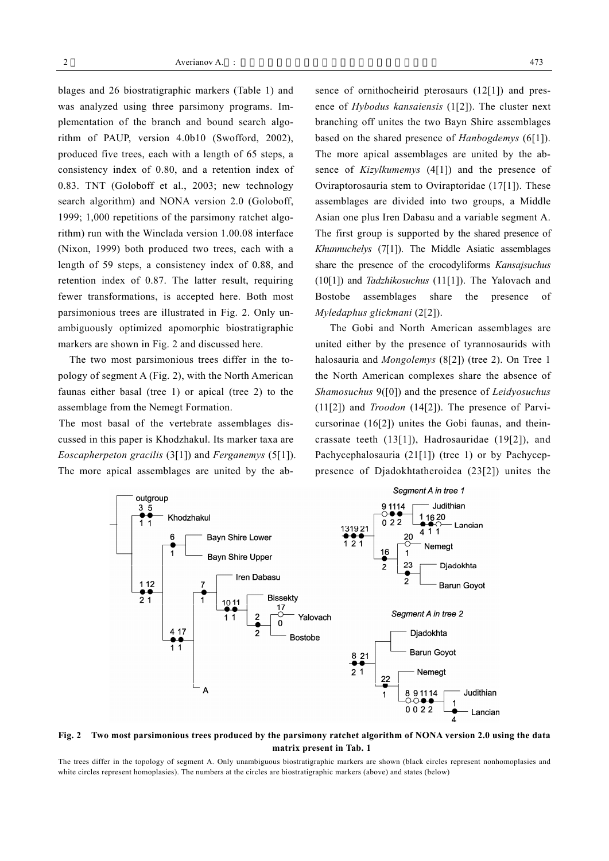blages and 26 biostratigraphic markers (Table 1) and was analyzed using three parsimony programs. Implementation of the branch and bound search algorithm of PAUP, version 4.0b10 (Swofford, 2002), produced five trees, each with a length of 65 steps, a consistency index of 0.80, and a retention index of 0.83. TNT (Goloboff et al., 2003; new technology search algorithm) and NONA version 2.0 (Goloboff, 1999; 1,000 repetitions of the parsimony ratchet algorithm) run with the Winclada version 1.00.08 interface (Nixon, 1999) both produced two trees, each with a length of 59 steps, a consistency index of 0.88, and retention index of 0.87. The latter result, requiring fewer transformations, is accepted here. Both most parsimonious trees are illustrated in Fig. 2. Only unambiguously optimized apomorphic biostratigraphic markers are shown in Fig. 2 and discussed here.

The two most parsimonious trees differ in the topology of segment A (Fig. 2), with the North American faunas either basal (tree 1) or apical (tree 2) to the assemblage from the Nemegt Formation.

The most basal of the vertebrate assemblages discussed in this paper is Khodzhakul. Its marker taxa are *Eoscapherpeton gracilis* (3[1]) and *Ferganemys* (5[1]). The more apical assemblages are united by the absence of ornithocheirid pterosaurs (12[1]) and presence of *Hybodus kansaiensis* (1[2]). The cluster next branching off unites the two Bayn Shire assemblages based on the shared presence of *Hanbogdemys* (6[1]). The more apical assemblages are united by the absence of *Kizylkumemys* (4[1]) and the presence of Oviraptorosauria stem to Oviraptoridae (17[1]). These assemblages are divided into two groups, a Middle Asian one plus Iren Dabasu and a variable segment A. The first group is supported by the shared presence of *Khunnuchelys* (7[1]). The Middle Asiatic assemblages share the presence of the crocodyliforms *Kansajsuchus* (10[1]) and *Tadzhikosuchus* (11[1]). The Yalovach and Bostobe assemblages share the presence of *Myledaphus glickmani* (2[2]).

The Gobi and North American assemblages are united either by the presence of tyrannosaurids with halosauria and *Mongolemys* (8[2]) (tree 2). On Tree 1 the North American complexes share the absence of *Shamosuchus* 9([0]) and the presence of *Leidyosuchus* (11[2]) and *Troodon* (14[2]). The presence of Parvicursorinae (16[2]) unites the Gobi faunas, and theincrassate teeth (13[1]), Hadrosauridae (19[2]), and Pachycephalosauria (21[1]) (tree 1) or by Pachyceppresence of Djadokhtatheroidea (23[2]) unites the



# **Fig. 2 Two most parsimonious trees produced by the parsimony ratchet algorithm of NONA version 2.0 using the data matrix present in Tab. 1**

The trees differ in the topology of segment A. Only unambiguous biostratigraphic markers are shown (black circles represent nonhomoplasies and white circles represent homoplasies). The numbers at the circles are biostratigraphic markers (above) and states (below)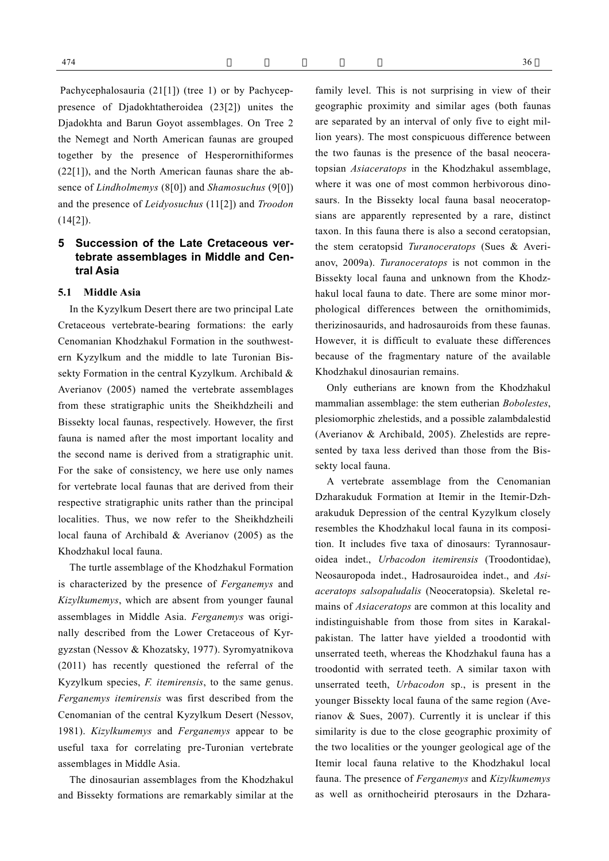Pachycephalosauria (21[1]) (tree 1) or by Pachyceppresence of Djadokhtatheroidea (23[2]) unites the Djadokhta and Barun Goyot assemblages. On Tree 2 the Nemegt and North American faunas are grouped together by the presence of Hesperornithiformes (22[1]), and the North American faunas share the absence of *Lindholmemys* (8[0]) and *Shamosuchus* (9[0]) and the presence of *Leidyosuchus* (11[2]) and *Troodon* (14[2]).

# **5 Succession of the Late Cretaceous vertebrate assemblages in Middle and Central Asia**

#### **5.1 Middle Asia**

In the Kyzylkum Desert there are two principal Late Cretaceous vertebrate-bearing formations: the early Cenomanian Khodzhakul Formation in the southwestern Kyzylkum and the middle to late Turonian Bissekty Formation in the central Kyzylkum. Archibald & Averianov (2005) named the vertebrate assemblages from these stratigraphic units the Sheikhdzheili and Bissekty local faunas, respectively. However, the first fauna is named after the most important locality and the second name is derived from a stratigraphic unit. For the sake of consistency, we here use only names for vertebrate local faunas that are derived from their respective stratigraphic units rather than the principal localities. Thus, we now refer to the Sheikhdzheili local fauna of Archibald & Averianov (2005) as the Khodzhakul local fauna.

The turtle assemblage of the Khodzhakul Formation is characterized by the presence of *Ferganemys* and *Kizylkumemys*, which are absent from younger faunal assemblages in Middle Asia. *Ferganemys* was originally described from the Lower Cretaceous of Kyrgyzstan (Nessov & Khozatsky, 1977). Syromyatnikova (2011) has recently questioned the referral of the Kyzylkum species, *F. itemirensis*, to the same genus. *Ferganemys itemirensis* was first described from the Cenomanian of the central Kyzylkum Desert (Nessov, 1981). *Kizylkumemys* and *Ferganemys* appear to be useful taxa for correlating pre-Turonian vertebrate assemblages in Middle Asia.

The dinosaurian assemblages from the Khodzhakul and Bissekty formations are remarkably similar at the family level. This is not surprising in view of their geographic proximity and similar ages (both faunas are separated by an interval of only five to eight million years). The most conspicuous difference between the two faunas is the presence of the basal neoceratopsian *Asiaceratops* in the Khodzhakul assemblage, where it was one of most common herbivorous dinosaurs. In the Bissekty local fauna basal neoceratopsians are apparently represented by a rare, distinct taxon. In this fauna there is also a second ceratopsian, the stem ceratopsid *Turanoceratops* (Sues & Averianov, 2009a). *Turanoceratops* is not common in the Bissekty local fauna and unknown from the Khodzhakul local fauna to date. There are some minor morphological differences between the ornithomimids, therizinosaurids, and hadrosauroids from these faunas. However, it is difficult to evaluate these differences because of the fragmentary nature of the available Khodzhakul dinosaurian remains.

Only eutherians are known from the Khodzhakul mammalian assemblage: the stem eutherian *Bobolestes*, plesiomorphic zhelestids, and a possible zalambdalestid (Averianov & Archibald, 2005). Zhelestids are represented by taxa less derived than those from the Bissekty local fauna.

A vertebrate assemblage from the Cenomanian Dzharakuduk Formation at Itemir in the Itemir-Dzharakuduk Depression of the central Kyzylkum closely resembles the Khodzhakul local fauna in its composition. It includes five taxa of dinosaurs: Tyrannosauroidea indet., *Urbacodon itemirensis* (Troodontidae), Neosauropoda indet., Hadrosauroidea indet., and *Asiaceratops salsopaludalis* (Neoceratopsia). Skeletal remains of *Asiaceratops* are common at this locality and indistinguishable from those from sites in Karakalpakistan. The latter have yielded a troodontid with unserrated teeth, whereas the Khodzhakul fauna has a troodontid with serrated teeth. A similar taxon with unserrated teeth, *Urbacodon* sp., is present in the younger Bissekty local fauna of the same region (Averianov & Sues, 2007). Currently it is unclear if this similarity is due to the close geographic proximity of the two localities or the younger geological age of the Itemir local fauna relative to the Khodzhakul local fauna. The presence of *Ferganemys* and *Kizylkumemys* as well as ornithocheirid pterosaurs in the Dzhara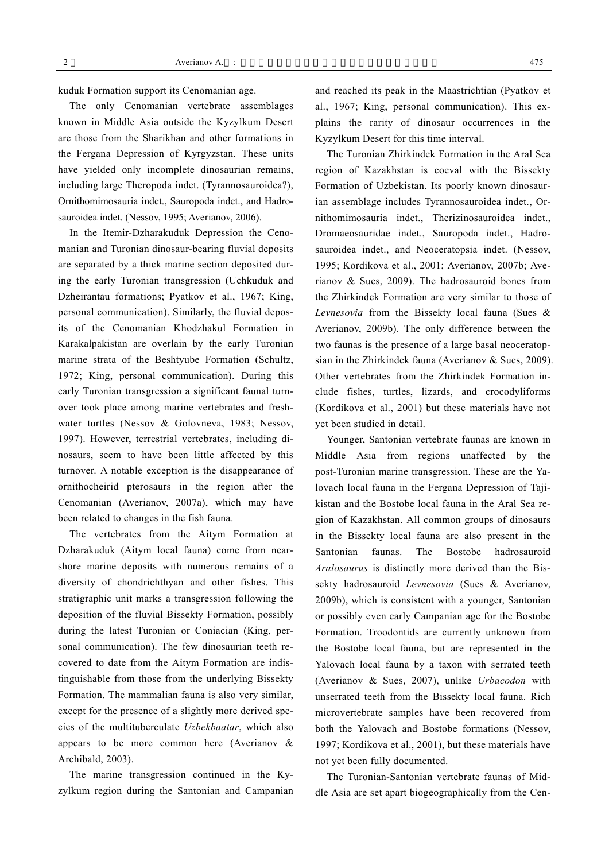kuduk Formation support its Cenomanian age.

The only Cenomanian vertebrate assemblages known in Middle Asia outside the Kyzylkum Desert are those from the Sharikhan and other formations in the Fergana Depression of Kyrgyzstan. These units have yielded only incomplete dinosaurian remains, including large Theropoda indet. (Tyrannosauroidea?), Ornithomimosauria indet., Sauropoda indet., and Hadrosauroidea indet. (Nessov, 1995; Averianov, 2006).

In the Itemir-Dzharakuduk Depression the Cenomanian and Turonian dinosaur-bearing fluvial deposits are separated by a thick marine section deposited during the early Turonian transgression (Uchkuduk and Dzheirantau formations; Pyatkov et al., 1967; King, personal communication). Similarly, the fluvial deposits of the Cenomanian Khodzhakul Formation in Karakalpakistan are overlain by the early Turonian marine strata of the Beshtyube Formation (Schultz, 1972; King, personal communication). During this early Turonian transgression a significant faunal turnover took place among marine vertebrates and freshwater turtles (Nessov & Golovneva, 1983; Nessov, 1997). However, terrestrial vertebrates, including dinosaurs, seem to have been little affected by this turnover. A notable exception is the disappearance of ornithocheirid pterosaurs in the region after the Cenomanian (Averianov, 2007a), which may have been related to changes in the fish fauna.

The vertebrates from the Aitym Formation at Dzharakuduk (Aitym local fauna) come from nearshore marine deposits with numerous remains of a diversity of chondrichthyan and other fishes. This stratigraphic unit marks a transgression following the deposition of the fluvial Bissekty Formation, possibly during the latest Turonian or Coniacian (King, personal communication). The few dinosaurian teeth recovered to date from the Aitym Formation are indistinguishable from those from the underlying Bissekty Formation. The mammalian fauna is also very similar, except for the presence of a slightly more derived species of the multituberculate *Uzbekbaatar*, which also appears to be more common here (Averianov & Archibald, 2003).

The marine transgression continued in the Kyzylkum region during the Santonian and Campanian and reached its peak in the Maastrichtian (Pyatkov et al., 1967; King, personal communication). This explains the rarity of dinosaur occurrences in the Kyzylkum Desert for this time interval.

The Turonian Zhirkindek Formation in the Aral Sea region of Kazakhstan is coeval with the Bissekty Formation of Uzbekistan. Its poorly known dinosaurian assemblage includes Tyrannosauroidea indet., Ornithomimosauria indet., Therizinosauroidea indet., Dromaeosauridae indet., Sauropoda indet., Hadrosauroidea indet., and Neoceratopsia indet. (Nessov, 1995; Kordikova et al., 2001; Averianov, 2007b; Averianov & Sues, 2009). The hadrosauroid bones from the Zhirkindek Formation are very similar to those of *Levnesovia* from the Bissekty local fauna (Sues & Averianov, 2009b). The only difference between the two faunas is the presence of a large basal neoceratopsian in the Zhirkindek fauna (Averianov & Sues, 2009). Other vertebrates from the Zhirkindek Formation include fishes, turtles, lizards, and crocodyliforms (Kordikova et al., 2001) but these materials have not yet been studied in detail.

Younger, Santonian vertebrate faunas are known in Middle Asia from regions unaffected by the post-Turonian marine transgression. These are the Yalovach local fauna in the Fergana Depression of Tajikistan and the Bostobe local fauna in the Aral Sea region of Kazakhstan. All common groups of dinosaurs in the Bissekty local fauna are also present in the Santonian faunas. The Bostobe hadrosauroid *Aralosaurus* is distinctly more derived than the Bissekty hadrosauroid *Levnesovia* (Sues & Averianov, 2009b), which is consistent with a younger, Santonian or possibly even early Campanian age for the Bostobe Formation. Troodontids are currently unknown from the Bostobe local fauna, but are represented in the Yalovach local fauna by a taxon with serrated teeth (Averianov & Sues, 2007), unlike *Urbacodon* with unserrated teeth from the Bissekty local fauna. Rich microvertebrate samples have been recovered from both the Yalovach and Bostobe formations (Nessov, 1997; Kordikova et al., 2001), but these materials have not yet been fully documented.

The Turonian-Santonian vertebrate faunas of Middle Asia are set apart biogeographically from the Cen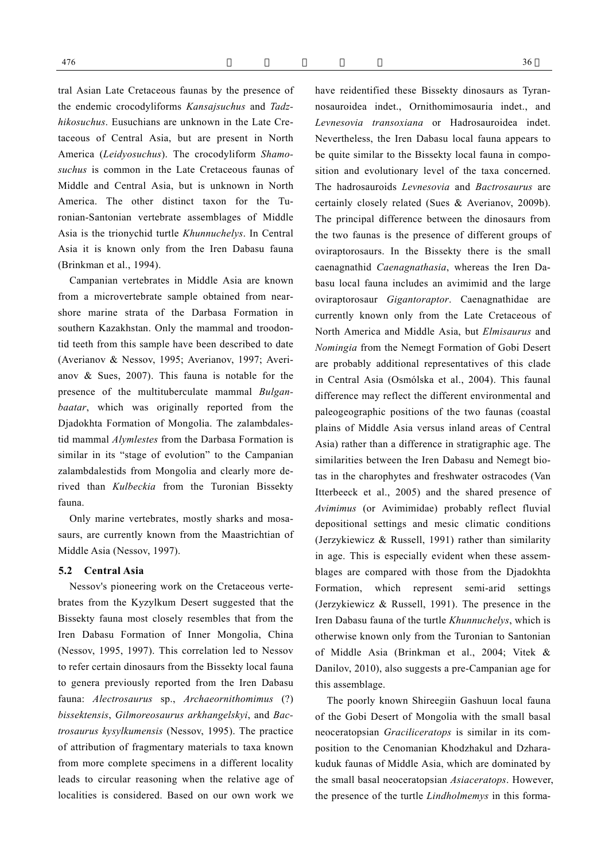tral Asian Late Cretaceous faunas by the presence of the endemic crocodyliforms *Kansajsuchus* and *Tadzhikosuchus*. Eusuchians are unknown in the Late Cretaceous of Central Asia, but are present in North America (*Leidyosuchus*). The crocodyliform *Shamosuchus* is common in the Late Cretaceous faunas of Middle and Central Asia, but is unknown in North America. The other distinct taxon for the Turonian-Santonian vertebrate assemblages of Middle Asia is the trionychid turtle *Khunnuchelys*. In Central Asia it is known only from the Iren Dabasu fauna (Brinkman et al., 1994).

Campanian vertebrates in Middle Asia are known from a microvertebrate sample obtained from nearshore marine strata of the Darbasa Formation in southern Kazakhstan. Only the mammal and troodontid teeth from this sample have been described to date (Averianov & Nessov, 1995; Averianov, 1997; Averianov & Sues, 2007). This fauna is notable for the presence of the multituberculate mammal *Bulganbaatar*, which was originally reported from the Djadokhta Formation of Mongolia. The zalambdalestid mammal *Alymlestes* from the Darbasa Formation is similar in its "stage of evolution" to the Campanian zalambdalestids from Mongolia and clearly more derived than *Kulbeckia* from the Turonian Bissekty fauna.

Only marine vertebrates, mostly sharks and mosasaurs, are currently known from the Maastrichtian of Middle Asia (Nessov, 1997).

#### **5.2 Central Asia**

Nessov's pioneering work on the Cretaceous vertebrates from the Kyzylkum Desert suggested that the Bissekty fauna most closely resembles that from the Iren Dabasu Formation of Inner Mongolia, China (Nessov, 1995, 1997). This correlation led to Nessov to refer certain dinosaurs from the Bissekty local fauna to genera previously reported from the Iren Dabasu fauna: *Alectrosaurus* sp., *Archaeornithomimus* (?) *bissektensis*, *Gilmoreosaurus arkhangelskyi*, and *Bactrosaurus kysylkumensis* (Nessov, 1995). The practice of attribution of fragmentary materials to taxa known from more complete specimens in a different locality leads to circular reasoning when the relative age of localities is considered. Based on our own work we

have reidentified these Bissekty dinosaurs as Tyrannosauroidea indet., Ornithomimosauria indet., and *Levnesovia transoxiana* or Hadrosauroidea indet. Nevertheless, the Iren Dabasu local fauna appears to be quite similar to the Bissekty local fauna in composition and evolutionary level of the taxa concerned. The hadrosauroids *Levnesovia* and *Bactrosaurus* are certainly closely related (Sues & Averianov, 2009b). The principal difference between the dinosaurs from the two faunas is the presence of different groups of oviraptorosaurs. In the Bissekty there is the small caenagnathid *Caenagnathasia*, whereas the Iren Dabasu local fauna includes an avimimid and the large oviraptorosaur *Gigantoraptor*. Caenagnathidae are currently known only from the Late Cretaceous of North America and Middle Asia, but *Elmisaurus* and *Nomingia* from the Nemegt Formation of Gobi Desert are probably additional representatives of this clade in Central Asia (Osmólska et al., 2004). This faunal difference may reflect the different environmental and paleogeographic positions of the two faunas (coastal plains of Middle Asia versus inland areas of Central Asia) rather than a difference in stratigraphic age. The similarities between the Iren Dabasu and Nemegt biotas in the charophytes and freshwater ostracodes (Van Itterbeeck et al., 2005) and the shared presence of *Avimimus* (or Avimimidae) probably reflect fluvial depositional settings and mesic climatic conditions (Jerzykiewicz & Russell, 1991) rather than similarity in age. This is especially evident when these assemblages are compared with those from the Djadokhta Formation, which represent semi-arid settings (Jerzykiewicz & Russell, 1991). The presence in the Iren Dabasu fauna of the turtle *Khunnuchelys*, which is otherwise known only from the Turonian to Santonian of Middle Asia (Brinkman et al., 2004; Vitek &

The poorly known Shireegiin Gashuun local fauna of the Gobi Desert of Mongolia with the small basal neoceratopsian *Graciliceratops* is similar in its composition to the Cenomanian Khodzhakul and Dzharakuduk faunas of Middle Asia, which are dominated by the small basal neoceratopsian *Asiaceratops*. However, the presence of the turtle *Lindholmemys* in this forma-

Danilov, 2010), also suggests a pre-Campanian age for

this assemblage.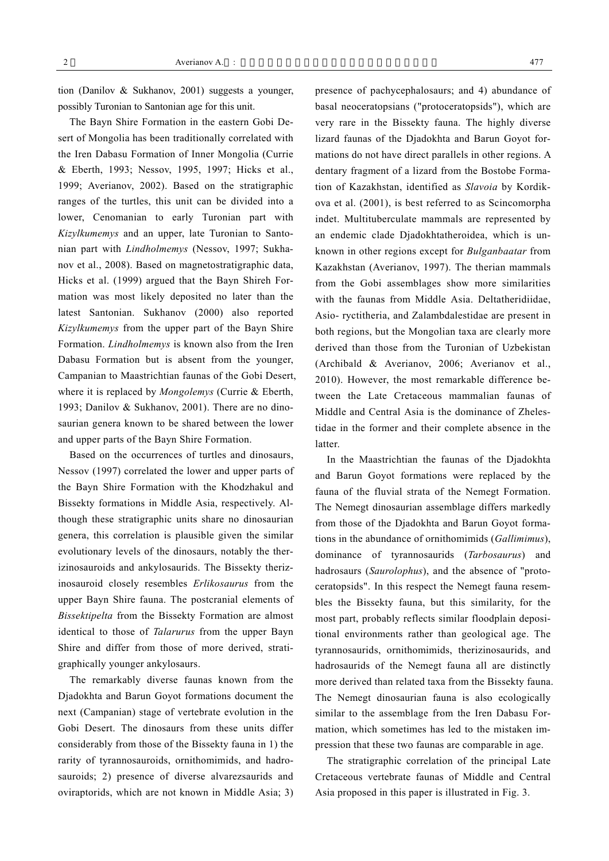tion (Danilov & Sukhanov, 2001) suggests a younger, possibly Turonian to Santonian age for this unit.

The Bayn Shire Formation in the eastern Gobi Desert of Mongolia has been traditionally correlated with the Iren Dabasu Formation of Inner Mongolia (Currie & Eberth, 1993; Nessov, 1995, 1997; Hicks et al., 1999; Averianov, 2002). Based on the stratigraphic ranges of the turtles, this unit can be divided into a lower, Cenomanian to early Turonian part with *Kizylkumemys* and an upper, late Turonian to Santonian part with *Lindholmemys* (Nessov, 1997; Sukhanov et al., 2008). Based on magnetostratigraphic data, Hicks et al. (1999) argued that the Bayn Shireh Formation was most likely deposited no later than the latest Santonian. Sukhanov (2000) also reported *Kizylkumemys* from the upper part of the Bayn Shire Formation. *Lindholmemys* is known also from the Iren Dabasu Formation but is absent from the younger, Campanian to Maastrichtian faunas of the Gobi Desert, where it is replaced by *Mongolemys* (Currie & Eberth, 1993; Danilov & Sukhanov, 2001). There are no dinosaurian genera known to be shared between the lower and upper parts of the Bayn Shire Formation.

Based on the occurrences of turtles and dinosaurs, Nessov (1997) correlated the lower and upper parts of the Bayn Shire Formation with the Khodzhakul and Bissekty formations in Middle Asia, respectively. Although these stratigraphic units share no dinosaurian genera, this correlation is plausible given the similar evolutionary levels of the dinosaurs, notably the therizinosauroids and ankylosaurids. The Bissekty therizinosauroid closely resembles *Erlikosaurus* from the upper Bayn Shire fauna. The postcranial elements of *Bissektipelta* from the Bissekty Formation are almost identical to those of *Talarurus* from the upper Bayn Shire and differ from those of more derived, stratigraphically younger ankylosaurs.

The remarkably diverse faunas known from the Djadokhta and Barun Goyot formations document the next (Campanian) stage of vertebrate evolution in the Gobi Desert. The dinosaurs from these units differ considerably from those of the Bissekty fauna in 1) the rarity of tyrannosauroids, ornithomimids, and hadrosauroids; 2) presence of diverse alvarezsaurids and oviraptorids, which are not known in Middle Asia; 3) presence of pachycephalosaurs; and 4) abundance of basal neoceratopsians ("protoceratopsids"), which are very rare in the Bissekty fauna. The highly diverse lizard faunas of the Djadokhta and Barun Goyot formations do not have direct parallels in other regions. A dentary fragment of a lizard from the Bostobe Formation of Kazakhstan, identified as *Slavoia* by Kordikova et al. (2001), is best referred to as Scincomorpha indet. Multituberculate mammals are represented by an endemic clade Djadokhtatheroidea, which is unknown in other regions except for *Bulganbaatar* from Kazakhstan (Averianov, 1997). The therian mammals from the Gobi assemblages show more similarities with the faunas from Middle Asia. Deltatheridiidae, Asio- ryctitheria, and Zalambdalestidae are present in both regions, but the Mongolian taxa are clearly more derived than those from the Turonian of Uzbekistan (Archibald & Averianov, 2006; Averianov et al., 2010). However, the most remarkable difference between the Late Cretaceous mammalian faunas of Middle and Central Asia is the dominance of Zhelestidae in the former and their complete absence in the **latter** 

In the Maastrichtian the faunas of the Djadokhta and Barun Goyot formations were replaced by the fauna of the fluvial strata of the Nemegt Formation. The Nemegt dinosaurian assemblage differs markedly from those of the Djadokhta and Barun Goyot formations in the abundance of ornithomimids (*Gallimimus*), dominance of tyrannosaurids (*Tarbosaurus*) and hadrosaurs (*Saurolophus*), and the absence of "protoceratopsids". In this respect the Nemegt fauna resembles the Bissekty fauna, but this similarity, for the most part, probably reflects similar floodplain depositional environments rather than geological age. The tyrannosaurids, ornithomimids, therizinosaurids, and hadrosaurids of the Nemegt fauna all are distinctly more derived than related taxa from the Bissekty fauna. The Nemegt dinosaurian fauna is also ecologically similar to the assemblage from the Iren Dabasu Formation, which sometimes has led to the mistaken impression that these two faunas are comparable in age.

The stratigraphic correlation of the principal Late Cretaceous vertebrate faunas of Middle and Central Asia proposed in this paper is illustrated in Fig. 3.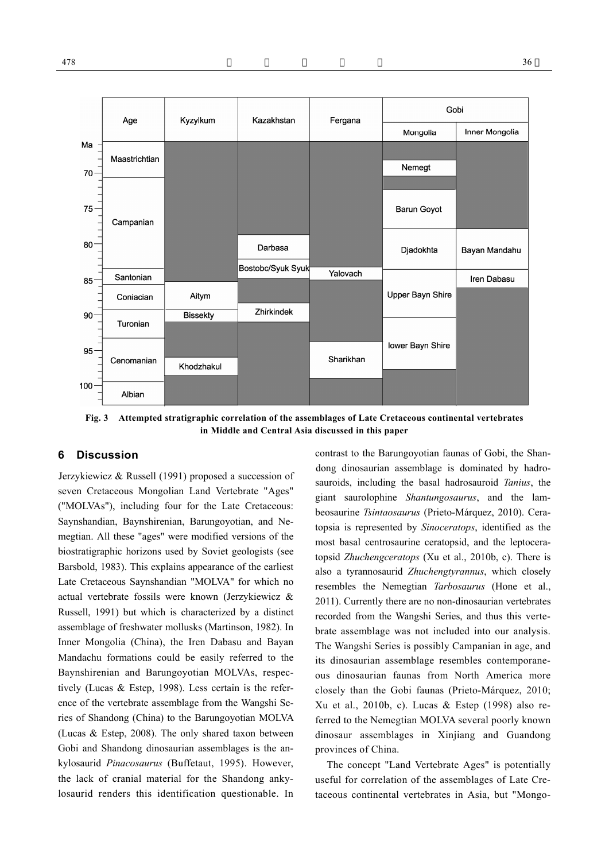

**Fig. 3 Attempted stratigraphic correlation of the assemblages of Late Cretaceous continental vertebrates in Middle and Central Asia discussed in this paper**

# **6 Discussion**

Jerzykiewicz & Russell (1991) proposed a succession of seven Cretaceous Mongolian Land Vertebrate "Ages" ("MOLVAs"), including four for the Late Cretaceous: Saynshandian, Baynshirenian, Barungoyotian, and Nemegtian. All these "ages" were modified versions of the biostratigraphic horizons used by Soviet geologists (see Barsbold, 1983). This explains appearance of the earliest Late Cretaceous Saynshandian "MOLVA" for which no actual vertebrate fossils were known (Jerzykiewicz & Russell, 1991) but which is characterized by a distinct assemblage of freshwater mollusks (Martinson, 1982). In Inner Mongolia (China), the Iren Dabasu and Bayan Mandachu formations could be easily referred to the Baynshirenian and Barungoyotian MOLVAs, respectively (Lucas & Estep, 1998). Less certain is the reference of the vertebrate assemblage from the Wangshi Series of Shandong (China) to the Barungoyotian MOLVA (Lucas & Estep, 2008). The only shared taxon between Gobi and Shandong dinosaurian assemblages is the ankylosaurid *Pinacosaurus* (Buffetaut, 1995). However, the lack of cranial material for the Shandong ankylosaurid renders this identification questionable. In contrast to the Barungoyotian faunas of Gobi, the Shandong dinosaurian assemblage is dominated by hadrosauroids, including the basal hadrosauroid *Tanius*, the giant saurolophine *Shantungosaurus*, and the lambeosaurine *Tsintaosaurus* (Prieto-Márquez, 2010). Ceratopsia is represented by *Sinoceratops*, identified as the most basal centrosaurine ceratopsid, and the leptoceratopsid *Zhuchengceratops* (Xu et al., 2010b, c). There is also a tyrannosaurid *Zhuchengtyrannus*, which closely resembles the Nemegtian *Tarbosaurus* (Hone et al., 2011). Currently there are no non-dinosaurian vertebrates recorded from the Wangshi Series, and thus this vertebrate assemblage was not included into our analysis. The Wangshi Series is possibly Campanian in age, and its dinosaurian assemblage resembles contemporaneous dinosaurian faunas from North America more closely than the Gobi faunas (Prieto-Márquez, 2010; Xu et al., 2010b, c). Lucas & Estep (1998) also referred to the Nemegtian MOLVA several poorly known dinosaur assemblages in Xinjiang and Guandong provinces of China.

The concept "Land Vertebrate Ages" is potentially useful for correlation of the assemblages of Late Cretaceous continental vertebrates in Asia, but "Mongo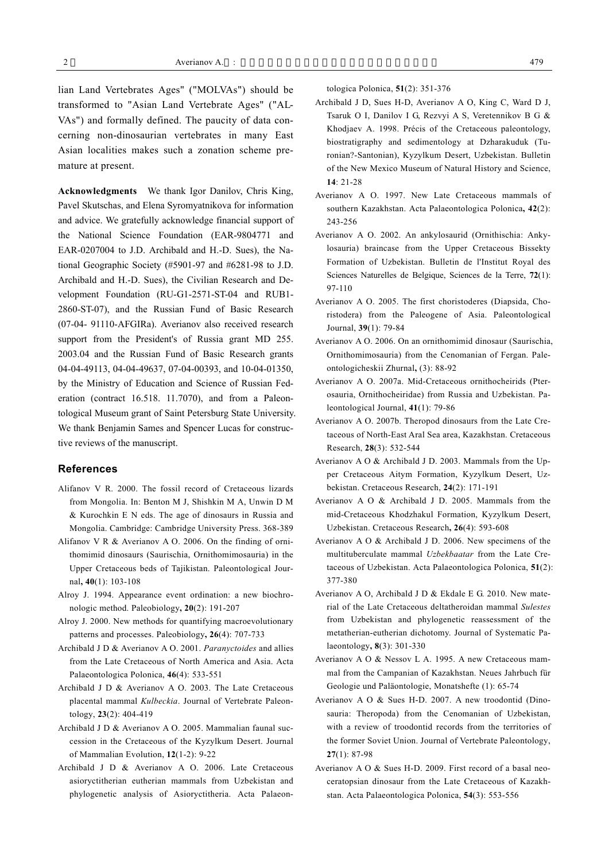lian Land Vertebrates Ages" ("MOLVAs") should be transformed to "Asian Land Vertebrate Ages" ("AL-VAs") and formally defined. The paucity of data concerning non-dinosaurian vertebrates in many East Asian localities makes such a zonation scheme premature at present.

**Acknowledgments** We thank Igor Danilov, Chris King, Pavel Skutschas, and Elena Syromyatnikova for information and advice. We gratefully acknowledge financial support of the National Science Foundation (EAR-9804771 and EAR-0207004 to J.D. Archibald and H.-D. Sues), the National Geographic Society (#5901-97 and #6281-98 to J.D. Archibald and H.-D. Sues), the Civilian Research and Development Foundation (RU-G1-2571-ST-04 and RUB1- 2860-ST-07), and the Russian Fund of Basic Research (07-04- 91110-AFGIRa). Averianov also received research support from the President's of Russia grant MD 255. 2003.04 and the Russian Fund of Basic Research grants 04-04-49113, 04-04-49637, 07-04-00393, and 10-04-01350, by the Ministry of Education and Science of Russian Federation (contract 16.518. 11.7070), and from a Paleontological Museum grant of Saint Petersburg State University. We thank Benjamin Sames and Spencer Lucas for constructive reviews of the manuscript.

#### **References**

- Alifanov V R. 2000. The fossil record of Cretaceous lizards from Mongolia. In: Benton M J, Shishkin M A, Unwin D M & Kurochkin E N eds. The age of dinosaurs in Russia and Mongolia. Cambridge: Cambridge University Press. 368-389
- Alifanov V R & Averianov A O. 2006. On the finding of ornithomimid dinosaurs (Saurischia, Ornithomimosauria) in the Upper Cretaceous beds of Tajikistan. Paleontological Journal**, 40**(1): 103-108
- Alroy J. 1994. Appearance event ordination: a new biochronologic method. Paleobiology**, 20**(2): 191-207
- Alroy J. 2000. New methods for quantifying macroevolutionary patterns and processes. Paleobiology**, 26**(4): 707-733
- Archibald J D & Averianov A O. 2001. *Paranyctoides* and allies from the Late Cretaceous of North America and Asia. Acta Palaeontologica Polonica, **46**(4): 533-551
- Archibald J D & Averianov A O. 2003. The Late Cretaceous placental mammal *Kulbeckia*. Journal of Vertebrate Paleontology, **23**(2): 404-419
- Archibald J D & Averianov A O. 2005. Mammalian faunal succession in the Cretaceous of the Kyzylkum Desert. Journal of Mammalian Evolution, **12**(1-2): 9-22
- Archibald J D & Averianov A O. 2006. Late Cretaceous asioryctitherian eutherian mammals from Uzbekistan and phylogenetic analysis of Asioryctitheria. Acta Palaeon-

tologica Polonica, **51**(2): 351-376

- Archibald J D, Sues H-D, Averianov A O, King C, Ward D J, Tsaruk O I, Danilov I G, Rezvyi A S, Veretennikov B G & Khodjaev A. 1998. Précis of the Cretaceous paleontology, biostratigraphy and sedimentology at Dzharakuduk (Turonian?-Santonian), Kyzylkum Desert, Uzbekistan. Bulletin of the New Mexico Museum of Natural History and Science, **14**: 21-28
- Averianov A O. 1997. New Late Cretaceous mammals of southern Kazakhstan. Acta Palaeontologica Polonica**, 42**(2): 243-256
- Averianov A O. 2002. An ankylosaurid (Ornithischia: Ankylosauria) braincase from the Upper Cretaceous Bissekty Formation of Uzbekistan. Bulletin de l'Institut Royal des Sciences Naturelles de Belgique, Sciences de la Terre, **72**(1): 97-110
- Averianov A O. 2005. The first choristoderes (Diapsida, Choristodera) from the Paleogene of Asia. Paleontological Journal, **39**(1): 79-84
- Averianov A O. 2006. On an ornithomimid dinosaur (Saurischia, Ornithomimosauria) from the Cenomanian of Fergan. Paleontologicheskii Zhurnal**,** (3): 88-92
- Averianov A O. 2007a. Mid-Cretaceous ornithocheirids (Pterosauria, Ornithocheiridae) from Russia and Uzbekistan. Paleontological Journal, **41**(1): 79-86
- Averianov A O. 2007b. Theropod dinosaurs from the Late Cretaceous of North-East Aral Sea area, Kazakhstan. Cretaceous Research, **28**(3): 532-544
- Averianov A O & Archibald J D. 2003. Mammals from the Upper Cretaceous Aitym Formation, Kyzylkum Desert, Uzbekistan. Cretaceous Research, **24**(2): 171-191
- Averianov A O & Archibald J D. 2005. Mammals from the mid-Cretaceous Khodzhakul Formation, Kyzylkum Desert, Uzbekistan. Cretaceous Research**, 26**(4): 593-608
- Averianov A O & Archibald J D. 2006. New specimens of the multituberculate mammal *Uzbekbaatar* from the Late Cretaceous of Uzbekistan. Acta Palaeontologica Polonica, **51**(2): 377-380
- Averianov A O, Archibald J D & Ekdale E G. 2010. New material of the Late Cretaceous deltatheroidan mammal *Sulestes*  from Uzbekistan and phylogenetic reassessment of the metatherian-eutherian dichotomy. Journal of Systematic Palaeontology**, 8**(3): 301-330
- Averianov A O & Nessov L A. 1995. A new Cretaceous mammal from the Campanian of Kazakhstan. Neues Jahrbuch für Geologie und Paläontologie, Monatshefte (1): 65-74
- Averianov A O & Sues H-D. 2007. A new troodontid (Dinosauria: Theropoda) from the Cenomanian of Uzbekistan, with a review of troodontid records from the territories of the former Soviet Union. Journal of Vertebrate Paleontology, **27**(1): 87-98
- Averianov A O & Sues H-D. 2009. First record of a basal neoceratopsian dinosaur from the Late Cretaceous of Kazakhstan. Acta Palaeontologica Polonica, **54**(3): 553-556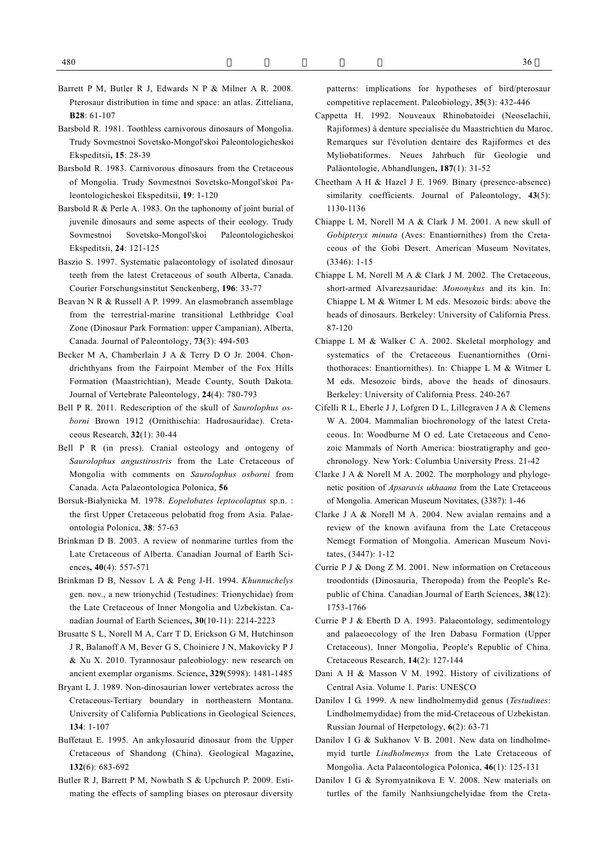- Barsbold R. 1981. Toothless carnivorous dinosaurs of Mongolia. Trudy Sovmestnoi Sovetsko-Mongol'skoi Paleontologicheskoi Ekspeditsii**, 15**: 28-39
- Barsbold R. 1983. Carnivorous dinosaurs from the Cretaceous of Mongolia. Trudy Sovmestnoi Sovetsko-Mongol'skoi Paleontologicheskoi Ekspeditsii, **19**: 1-120
- Barsbold R & Perle A. 1983. On the taphonomy of joint burial of juvenile dinosaurs and some aspects of their ecology. Trudy Sovmestnoi Sovetsko-Mongol'skoi Paleontologicheskoi Ekspeditsii, **24**: 121-125
- Baszio S. 1997. Systematic palaeontology of isolated dinosaur teeth from the latest Cretaceous of south Alberta, Canada. Courier Forschungsinstitut Senckenberg, **196**: 33-77
- Beavan N R & Russell A P. 1999. An elasmobranch assemblage from the terrestrial-marine transitional Lethbridge Coal Zone (Dinosaur Park Formation: upper Campanian), Alberta, Canada. Journal of Paleontology, **73**(3): 494-503
- Becker M A, Chamberlain J A & Terry D O Jr. 2004. Chondrichthyans from the Fairpoint Member of the Fox Hills Formation (Maastrichtian), Meade County, South Dakota. Journal of Vertebrate Paleontology, **24**(4): 780-793
- Bell P R. 2011. Redescription of the skull of *Saurolophus osborni* Brown 1912 (Ornithischia: Hadrosauridae). Cretaceous Research, **32**(1): 30-44
- Bell P R (in press). Cranial osteology and ontogeny of *Saurolophus angustirostris* from the Late Cretaceous of Mongolia with comments on *Saurolophus osborni* from Canada. Acta Palaeontologica Polonica, **56**
- Borsuk-Białynicka M. 1978. *Eopelobates leptocolaptus* sp.n. : the first Upper Cretaceous pelobatid frog from Asia. Palaeontologia Polonica, **38**: 57-63
- Brinkman D B. 2003. A review of nonmarine turtles from the Late Cretaceous of Alberta. Canadian Journal of Earth Sciences**, 40**(4): 557-571
- Brinkman D B, Nessov L A & Peng J-H. 1994. *Khunnuchelys*  gen. nov., a new trionychid (Testudines: Trionychidae) from the Late Cretaceous of Inner Mongolia and Uzbekistan. Canadian Journal of Earth Sciences**, 30**(10-11): 2214-2223
- Brusatte S L, Norell M A, Carr T D, Erickson G M, Hutchinson J R, Balanoff A M, Bever G S, Choiniere J N, Makovicky P J & Xu X. 2010. Tyrannosaur paleobiology: new research on ancient exemplar organisms. Science**, 329**(5998): 1481-1485
- Bryant L J. 1989. Non-dinosaurian lower vertebrates across the Cretaceous-Tertiary boundary in northeastern Montana. University of California Publications in Geological Sciences, **134**: 1-107
- Buffetaut E. 1995. An ankylosaurid dinosaur from the Upper Cretaceous of Shandong (China). Geological Magazine**, 132**(6): 683-692
- Butler R J, Barrett P M, Nowbath S & Upchurch P. 2009. Estimating the effects of sampling biases on pterosaur diversity

patterns: implications for hypotheses of bird/pterosaur competitive replacement. Paleobiology, **35**(3): 432-446

- Cappetta H. 1992. Nouveaux Rhinobatoidei (Neoselachii, Rajiformes) à denture specialisée du Maastrichtien du Maroc. Remarques sur l'évolution dentaire des Rajiformes et des Myliobatiformes. Neues Jahrbuch für Geologie und Paläontologie, Abhandlungen**, 187**(1): 31-52
- Cheetham A H & Hazel J E. 1969. Binary (presence-absence) similarity coefficients. Journal of Paleontology, **43**(5): 1130-1136
- Chiappe L M, Norell M A & Clark J M. 2001. A new skull of *Gobipteryx minuta* (Aves: Enantiornithes) from the Cretaceous of the Gobi Desert. American Museum Novitates, (3346): 1-15
- Chiappe L M, Norell M A & Clark J M. 2002. The Cretaceous, short-armed Alvarezsauridae: *Mononykus* and its kin. In: Chiappe L M & Witmer L M eds. Mesozoic birds: above the heads of dinosaurs. Berkeley: University of California Press. 87-120
- Chiappe L M & Walker C A. 2002. Skeletal morphology and systematics of the Cretaceous Euenantiornithes (Ornithothoraces: Enantiornithes). In: Chiappe L M & Witmer L M eds. Mesozoic birds, above the heads of dinosaurs. Berkeley: University of California Press. 240-267
- Cifelli R L, Eberle J J, Lofgren D L, Lillegraven J A & Clemens W A. 2004. Mammalian biochronology of the latest Cretaceous. In: Woodburne M O ed. Late Cretaceous and Cenozoic Mammals of North America: biostratigraphy and geochronology. New York: Columbia University Press. 21-42
- Clarke J A & Norell M A. 2002. The morphology and phylogenetic position of *Apsaravis ukhaana* from the Late Cretaceous of Mongolia. American Museum Novitates, (3387): 1-46
- Clarke J A & Norell M A. 2004. New avialan remains and a review of the known avifauna from the Late Cretaceous Nemegt Formation of Mongolia. American Museum Novitates, (3447): 1-12
- Currie P J & Dong Z M. 2001. New information on Cretaceous troodontids (Dinosauria, Theropoda) from the People's Republic of China. Canadian Journal of Earth Sciences, **38**(12): 1753-1766
- Currie P J & Eberth D A. 1993. Palaeontology, sedimentology and palaeoecology of the Iren Dabasu Formation (Upper Cretaceous), Inner Mongolia, People's Republic of China. Cretaceous Research, **14**(2): 127-144
- Dani A H & Masson V M. 1992. History of civilizations of Central Asia. Volume 1. Paris: UNESCO
- Danilov I G. 1999. A new lindholmemydid genus (*Testudines*: Lindholmemydidae) from the mid-Cretaceous of Uzbekistan. Russian Journal of Herpetology, **6**(2): 63-71
- Danilov I G & Sukhanov V B. 2001. New data on lindholmemyid turtle *Lindholmemys* from the Late Cretaceous of Mongolia. Acta Palaeontologica Polonica, **46**(1): 125-131
- Danilov I G & Syromyatnikova E V. 2008. New materials on turtles of the family Nanhsiungchelyidae from the Creta-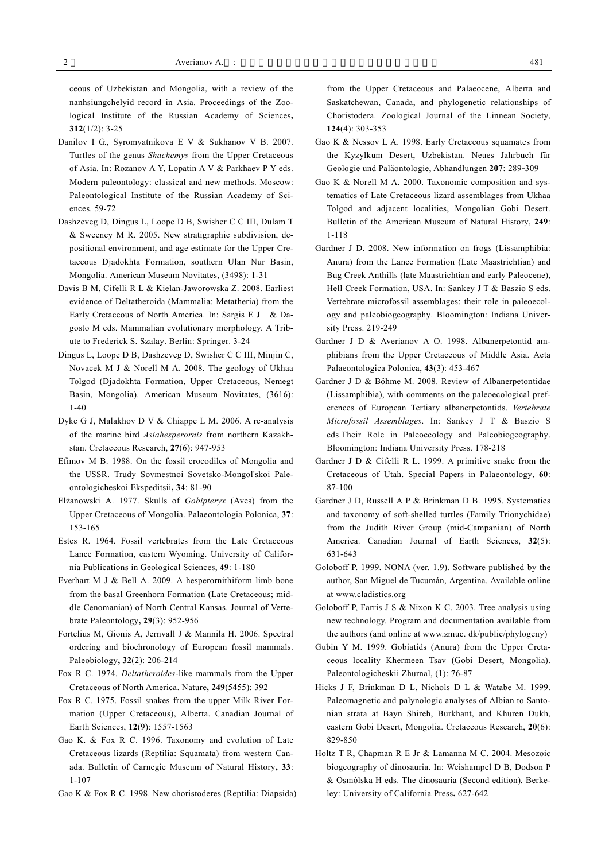ceous of Uzbekistan and Mongolia, with a review of the nanhsiungchelyid record in Asia. Proceedings of the Zoological Institute of the Russian Academy of Sciences**, 312**(1/2): 3-25

- Danilov I G., Syromyatnikova E V & Sukhanov V B. 2007. Turtles of the genus *Shachemys* from the Upper Cretaceous of Asia. In: Rozanov A Y, Lopatin A V & Parkhaev P Y eds. Modern paleontology: classical and new methods. Moscow: Paleontological Institute of the Russian Academy of Sciences. 59-72
- Dashzeveg D, Dingus L, Loope D B, Swisher C C III, Dulam T & Sweeney M R. 2005. New stratigraphic subdivision, depositional environment, and age estimate for the Upper Cretaceous Djadokhta Formation, southern Ulan Nur Basin, Mongolia. American Museum Novitates, (3498): 1-31
- Davis B M, Cifelli R L & Kielan-Jaworowska Z. 2008. Earliest evidence of Deltatheroida (Mammalia: Metatheria) from the Early Cretaceous of North America. In: Sargis E J & Dagosto M eds. Mammalian evolutionary morphology. A Tribute to Frederick S. Szalay. Berlin: Springer. 3-24
- Dingus L, Loope D B, Dashzeveg D, Swisher C C III, Minjin C, Novacek M J & Norell M A. 2008. The geology of Ukhaa Tolgod (Djadokhta Formation, Upper Cretaceous, Nemegt Basin, Mongolia). American Museum Novitates, (3616): 1-40
- Dyke G J, Malakhov D V & Chiappe L M. 2006. A re-analysis of the marine bird *Asiahesperornis* from northern Kazakhstan. Cretaceous Research, **27**(6): 947-953
- Efimov M B. 1988. On the fossil crocodiles of Mongolia and the USSR. Trudy Sovmestnoi Sovetsko-Mongol'skoi Paleontologicheskoi Ekspeditsii**, 34**: 81-90
- Elżanowski A. 1977. Skulls of *Gobipteryx* (Aves) from the Upper Cretaceous of Mongolia. Palaeontologia Polonica, **37**: 153-165
- Estes R. 1964. Fossil vertebrates from the Late Cretaceous Lance Formation, eastern Wyoming. University of California Publications in Geological Sciences, **49**: 1-180
- Everhart M J & Bell A. 2009. A hesperornithiform limb bone from the basal Greenhorn Formation (Late Cretaceous; middle Cenomanian) of North Central Kansas. Journal of Vertebrate Paleontology**, 29**(3): 952-956
- Fortelius M, Gionis A, Jernvall J & Mannila H. 2006. Spectral ordering and biochronology of European fossil mammals. Paleobiology**, 32**(2): 206-214
- Fox R C. 1974. *Deltatheroides*-like mammals from the Upper Cretaceous of North America. Nature**, 249**(5455): 392
- Fox R C. 1975. Fossil snakes from the upper Milk River Formation (Upper Cretaceous), Alberta. Canadian Journal of Earth Sciences, **12**(9): 1557-1563
- Gao K. & Fox R C. 1996. Taxonomy and evolution of Late Cretaceous lizards (Reptilia: Squamata) from western Canada. Bulletin of Carnegie Museum of Natural History**, 33**: 1-107
- Gao K & Fox R C. 1998. New choristoderes (Reptilia: Diapsida)

from the Upper Cretaceous and Palaeocene, Alberta and Saskatchewan, Canada, and phylogenetic relationships of Choristodera. Zoological Journal of the Linnean Society, **124**(4): 303-353

- Gao K & Nessov L A. 1998. Early Cretaceous squamates from the Kyzylkum Desert, Uzbekistan. Neues Jahrbuch für Geologie und Paläontologie, Abhandlungen **207**: 289-309
- Gao K & Norell M A. 2000. Taxonomic composition and systematics of Late Cretaceous lizard assemblages from Ukhaa Tolgod and adjacent localities, Mongolian Gobi Desert. Bulletin of the American Museum of Natural History, **249**: 1-118
- Gardner J D. 2008. New information on frogs (Lissamphibia: Anura) from the Lance Formation (Late Maastrichtian) and Bug Creek Anthills (late Maastrichtian and early Paleocene), Hell Creek Formation, USA. In: Sankey J T & Baszio S eds. Vertebrate microfossil assemblages: their role in paleoecology and paleobiogeography. Bloomington: Indiana University Press. 219-249
- Gardner J D & Averianov A O. 1998. Albanerpetontid amphibians from the Upper Cretaceous of Middle Asia. Acta Palaeontologica Polonica, **43**(3): 453-467
- Gardner J D & Böhme M. 2008. Review of Albanerpetontidae (Lissamphibia), with comments on the paleoecological preferences of European Tertiary albanerpetontids. *Vertebrate Microfossil Assemblages*. In: Sankey J T & Baszio S eds.Their Role in Paleoecology and Paleobiogeography. Bloomington: Indiana University Press. 178-218
- Gardner J D & Cifelli R L. 1999. A primitive snake from the Cretaceous of Utah. Special Papers in Palaeontology, **60**: 87-100
- Gardner J D, Russell A P & Brinkman D B. 1995. Systematics and taxonomy of soft-shelled turtles (Family Trionychidae) from the Judith River Group (mid-Campanian) of North America. Canadian Journal of Earth Sciences, **32**(5): 631-643
- Goloboff P. 1999. NONA (ver. 1.9). Software published by the author, San Miguel de Tucumán, Argentina. Available online at www.cladistics.org
- Goloboff P, Farris J S & Nixon K C. 2003. Tree analysis using new technology. Program and documentation available from the authors (and online at www.zmuc. dk/public/phylogeny)
- Gubin Y M. 1999. Gobiatids (Anura) from the Upper Cretaceous locality Khermeen Tsav (Gobi Desert, Mongolia). Paleontologicheskii Zhurnal, (1): 76-87
- Hicks J F, Brinkman D L, Nichols D L & Watabe M. 1999. Paleomagnetic and palynologic analyses of Albian to Santonian strata at Bayn Shireh, Burkhant, and Khuren Dukh, eastern Gobi Desert, Mongolia. Cretaceous Research, **20**(6): 829-850
- Holtz T R, Chapman R E Jr & Lamanna M C. 2004. Mesozoic biogeography of dinosauria. In: Weishampel D B, Dodson P & Osmólska H eds. The dinosauria (Second edition)*.* Berkeley: University of California Press**.** 627-642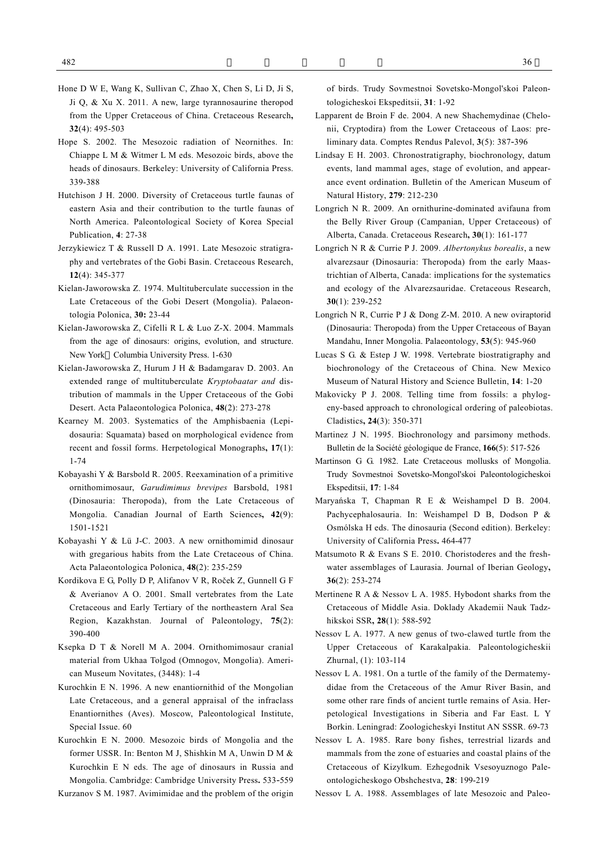- Hone D W E, Wang K, Sullivan C, Zhao X, Chen S, Li D, Ji S, Ji Q, & Xu X. 2011. A new, large tyrannosaurine theropod from the Upper Cretaceous of China. Cretaceous Research**, 32**(4): 495-503
- Hope S. 2002. The Mesozoic radiation of Neornithes. In: Chiappe L M & Witmer L M eds. Mesozoic birds, above the heads of dinosaurs. Berkeley: University of California Press. 339-388
- Hutchison J H. 2000. Diversity of Cretaceous turtle faunas of eastern Asia and their contribution to the turtle faunas of North America. Paleontological Society of Korea Special Publication, **4**: 27-38
- Jerzykiewicz T & Russell D A. 1991. Late Mesozoic stratigraphy and vertebrates of the Gobi Basin. Cretaceous Research, **12**(4): 345-377
- Kielan-Jaworowska Z. 1974. Multituberculate succession in the Late Cretaceous of the Gobi Desert (Mongolia). Palaeontologia Polonica, **30:** 23-44
- Kielan-Jaworowska Z, Cifelli R L & Luo Z-X. 2004. Mammals from the age of dinosaurs: origins, evolution, and structure. New York Columbia University Press. 1-630
- Kielan-Jaworowska Z, Hurum J H & Badamgarav D. 2003. An extended range of multituberculate *Kryptobaatar and* distribution of mammals in the Upper Cretaceous of the Gobi Desert. Acta Palaeontologica Polonica, **48**(2): 273-278
- Kearney M. 2003. Systematics of the Amphisbaenia (Lepidosauria: Squamata) based on morphological evidence from recent and fossil forms. Herpetological Monographs**, 17**(1): 1-74
- Kobayashi Y & Barsbold R. 2005. Reexamination of a primitive ornithomimosaur, *Garudimimus brevipes* Barsbold, 1981 (Dinosauria: Theropoda), from the Late Cretaceous of Mongolia. Canadian Journal of Earth Sciences**, 42**(9): 1501-1521
- Kobayashi Y & Lü J-C. 2003. A new ornithomimid dinosaur with gregarious habits from the Late Cretaceous of China. Acta Palaeontologica Polonica, **48**(2): 235-259
- Kordikova E G, Polly D P, Alifanov V R, Roček Z, Gunnell G F & Averianov A O. 2001. Small vertebrates from the Late Cretaceous and Early Tertiary of the northeastern Aral Sea Region, Kazakhstan. Journal of Paleontology, **75**(2): 390-400
- Ksepka D T & Norell M A. 2004. Ornithomimosaur cranial material from Ukhaa Tolgod (Omnogov, Mongolia). American Museum Novitates, (3448): 1-4
- Kurochkin E N. 1996. A new enantiornithid of the Mongolian Late Cretaceous, and a general appraisal of the infraclass Enantiornithes (Aves). Moscow, Paleontological Institute, Special Issue. 60
- Kurochkin E N. 2000. Mesozoic birds of Mongolia and the former USSR. In: Benton M J, Shishkin M A, Unwin D M & Kurochkin E N eds. The age of dinosaurs in Russia and Mongolia. Cambridge: Cambridge University Press**.** 533-559

Kurzanov S M. 1987. Avimimidae and the problem of the origin

of birds. Trudy Sovmestnoi Sovetsko-Mongol'skoi Paleontologicheskoi Ekspeditsii, **31**: 1-92

- Lapparent de Broin F de. 2004. A new Shachemydinae (Chelonii, Cryptodira) from the Lower Cretaceous of Laos: preliminary data. Comptes Rendus Palevol, **3**(5): 387-396
- Lindsay E H. 2003. Chronostratigraphy, biochronology, datum events, land mammal ages, stage of evolution, and appearance event ordination. Bulletin of the American Museum of Natural History, **279**: 212-230
- Longrich N R. 2009. An ornithurine-dominated avifauna from the Belly River Group (Campanian, Upper Cretaceous) of Alberta, Canada. Cretaceous Research**, 30**(1): 161-177
- Longrich N R & Currie P J. 2009. *Albertonykus borealis*, a new alvarezsaur (Dinosauria: Theropoda) from the early Maastrichtian of Alberta, Canada: implications for the systematics and ecology of the Alvarezsauridae. Cretaceous Research, **30**(1): 239-252
- Longrich N R, Currie P J & Dong Z-M. 2010. A new oviraptorid (Dinosauria: Theropoda) from the Upper Cretaceous of Bayan Mandahu, Inner Mongolia. Palaeontology, **53**(5): 945-960
- Lucas S G. & Estep J W. 1998. Vertebrate biostratigraphy and biochronology of the Cretaceous of China. New Mexico Museum of Natural History and Science Bulletin, **14**: 1-20
- Makovicky P J. 2008. Telling time from fossils: a phylogeny-based approach to chronological ordering of paleobiotas. Cladistics**, 24**(3): 350-371
- Martinez J N. 1995. Biochronology and parsimony methods. Bulletin de la Société géologique de France, **166**(5): 517-526
- Martinson G G. 1982. Late Cretaceous mollusks of Mongolia. Trudy Sovmestnoi Sovetsko-Mongol'skoi Paleontologicheskoi Ekspeditsii, **17**: 1-84
- Maryańska T, Chapman R E & Weishampel D B. 2004. Pachycephalosauria. In: Weishampel D B, Dodson P & Osmólska H eds. The dinosauria (Second edition). Berkeley: University of California Press**.** 464-477
- Matsumoto R & Evans S E. 2010. Choristoderes and the freshwater assemblages of Laurasia. Journal of Iberian Geology**, 36**(2): 253-274
- Mertinene R A & Nessov L A. 1985. Hybodont sharks from the Cretaceous of Middle Asia. Doklady Akademii Nauk Tadzhikskoi SSR**, 28**(1): 588-592
- Nessov L A. 1977. A new genus of two-clawed turtle from the Upper Cretaceous of Karakalpakia. Paleontologicheskii Zhurnal, (1): 103-114
- Nessov L A. 1981. On a turtle of the family of the Dermatemydidae from the Cretaceous of the Amur River Basin, and some other rare finds of ancient turtle remains of Asia. Herpetological Investigations in Siberia and Far East. L Y Borkin. Leningrad: Zoologicheskyi Institut AN SSSR. 69-73
- Nessov L A. 1985. Rare bony fishes, terrestrial lizards and mammals from the zone of estuaries and coastal plains of the Cretaceous of Kizylkum. Ezhegodnik Vsesoyuznogo Paleontologicheskogo Obshchestva, **28**: 199-219
- Nessov L A. 1988. Assemblages of late Mesozoic and Paleo-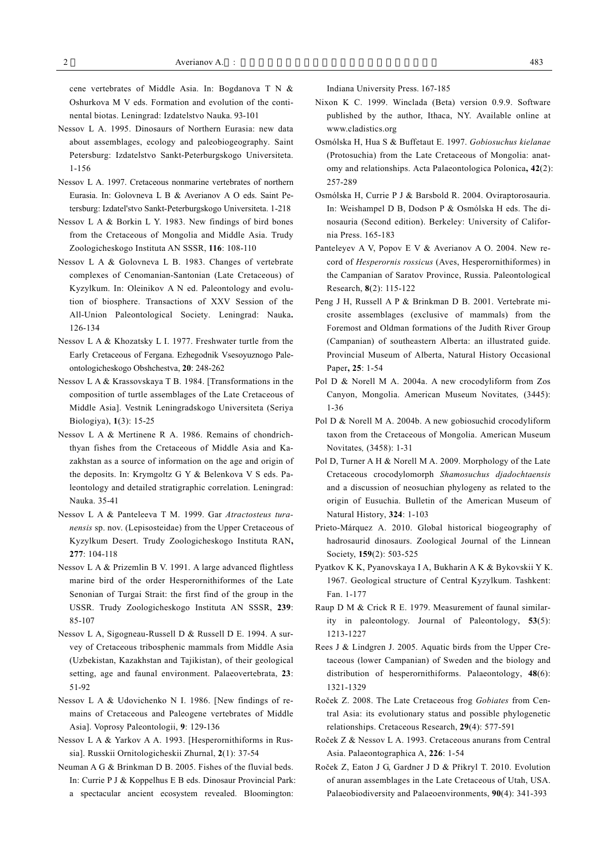cene vertebrates of Middle Asia. In: Bogdanova T N & Oshurkova M V eds. Formation and evolution of the continental biotas. Leningrad: Izdatelstvo Nauka. 93-101

- Nessov L A. 1995. Dinosaurs of Northern Eurasia: new data about assemblages, ecology and paleobiogeography. Saint Petersburg: Izdatelstvo Sankt-Peterburgskogo Universiteta. 1-156
- Nessov L A. 1997. Cretaceous nonmarine vertebrates of northern Eurasia. In: Golovneva L B & Averianov A O eds. Saint Petersburg: Izdatel'stvo Sankt-Peterburgskogo Universiteta. 1-218
- Nessov L A & Borkin L Y. 1983. New findings of bird bones from the Cretaceous of Mongolia and Middle Asia. Trudy Zoologicheskogo Instituta AN SSSR, **116**: 108-110
- Nessov L A & Golovneva L B. 1983. Changes of vertebrate complexes of Cenomanian-Santonian (Late Cretaceous) of Kyzylkum. In: Oleinikov A N ed. Paleontology and evolution of biosphere. Transactions of XXV Session of the All-Union Paleontological Society. Leningrad: Nauka**.**  126-134
- Nessov L A & Khozatsky L I. 1977. Freshwater turtle from the Early Cretaceous of Fergana. Ezhegodnik Vsesoyuznogo Paleontologicheskogo Obshchestva, **20**: 248-262
- Nessov L A & Krassovskaya T B. 1984. [Transformations in the composition of turtle assemblages of the Late Cretaceous of Middle Asia]. Vestnik Leningradskogo Universiteta (Seriya Biologiya), **1**(3): 15-25
- Nessov L A & Mertinene R A. 1986. Remains of chondrichthyan fishes from the Cretaceous of Middle Asia and Kazakhstan as a source of information on the age and origin of the deposits. In: Krymgoltz G Y & Belenkova V S eds. Paleontology and detailed stratigraphic correlation. Leningrad: Nauka. 35-41
- Nessov L A & Panteleeva T M. 1999. Gar *Atractosteus turanensis* sp. nov. (Lepisosteidae) from the Upper Cretaceous of Kyzylkum Desert. Trudy Zoologicheskogo Instituta RAN**, 277**: 104-118
- Nessov L A & Prizemlin B V. 1991. A large advanced flightless marine bird of the order Hesperornithiformes of the Late Senonian of Turgai Strait: the first find of the group in the USSR. Trudy Zoologicheskogo Instituta AN SSSR, **239**: 85-107
- Nessov L A, Sigogneau-Russell D & Russell D E. 1994. A survey of Cretaceous tribosphenic mammals from Middle Asia (Uzbekistan, Kazakhstan and Tajikistan), of their geological setting, age and faunal environment. Palaeovertebrata, **23**: 51-92
- Nessov L A & Udovichenko N I. 1986. [New findings of remains of Cretaceous and Paleogene vertebrates of Middle Asia]. Voprosy Paleontologii, **9**: 129-136
- Nessov L A & Yarkov A A. 1993. [Hesperornithiforms in Russia]. Russkii Ornitologicheskii Zhurnal, **2**(1): 37-54
- Neuman A G & Brinkman D B. 2005. Fishes of the fluvial beds. In: Currie P J & Koppelhus E B eds. Dinosaur Provincial Park:
	- a spectacular ancient ecosystem revealed. Bloomington:

Indiana University Press. 167-185

- Nixon K C. 1999. Winclada (Beta) version 0.9.9. Software published by the author, Ithaca, NY. Available online at www.cladistics.org
- Osmólska H, Hua S & Buffetaut E. 1997. *Gobiosuchus kielanae* (Protosuchia) from the Late Cretaceous of Mongolia: anatomy and relationships. Acta Palaeontologica Polonica**, 42**(2): 257-289
- Osmólska H, Currie P J & Barsbold R. 2004. Oviraptorosauria. In: Weishampel D B, Dodson P & Osmólska H eds. The dinosauria (Second edition). Berkeley: University of California Press. 165-183
- Panteleyev A V, Popov E V & Averianov A O. 2004. New record of *Hesperornis rossicus* (Aves, Hesperornithiformes) in the Campanian of Saratov Province, Russia. Paleontological Research, **8**(2): 115-122
- Peng J H, Russell A P & Brinkman D B. 2001. Vertebrate microsite assemblages (exclusive of mammals) from the Foremost and Oldman formations of the Judith River Group (Campanian) of southeastern Alberta: an illustrated guide. Provincial Museum of Alberta, Natural History Occasional Paper**, 25**: 1-54
- Pol D & Norell M A. 2004a. A new crocodyliform from Zos Canyon, Mongolia. American Museum Novitates*,* (3445): 1-36
- Pol D & Norell M A. 2004b. A new gobiosuchid crocodyliform taxon from the Cretaceous of Mongolia. American Museum Novitates*,* (3458): 1-31
- Pol D, Turner A H & Norell M A. 2009. Morphology of the Late Cretaceous crocodylomorph *Shamosuchus djadochtaensis* and a discussion of neosuchian phylogeny as related to the origin of Eusuchia. Bulletin of the American Museum of Natural History, **324**: 1-103
- Prieto-Márquez A. 2010. Global historical biogeography of hadrosaurid dinosaurs. Zoological Journal of the Linnean Society, **159**(2): 503-525
- Pyatkov K K, Pyanovskaya I A, Bukharin A K & Bykovskii Y K. 1967. Geological structure of Central Kyzylkum. Tashkent: Fan. 1-177
- Raup D M & Crick R E. 1979. Measurement of faunal similarity in paleontology. Journal of Paleontology, **53**(5): 1213-1227
- Rees J & Lindgren J. 2005. Aquatic birds from the Upper Cretaceous (lower Campanian) of Sweden and the biology and distribution of hesperornithiforms. Palaeontology, **48**(6): 1321-1329
- Roček Z. 2008. The Late Cretaceous frog *Gobiates* from Central Asia: its evolutionary status and possible phylogenetic relationships. Cretaceous Research, **29**(4): 577-591
- Roček Z & Nessov L A. 1993. Cretaceous anurans from Central Asia. Palaeontographica A, **226**: 1-54
- Roček Z, Eaton J G, Gardner J D & Přikryl T. 2010. Evolution of anuran assemblages in the Late Cretaceous of Utah, USA. Palaeobiodiversity and Palaeoenvironments, **90**(4): 341-393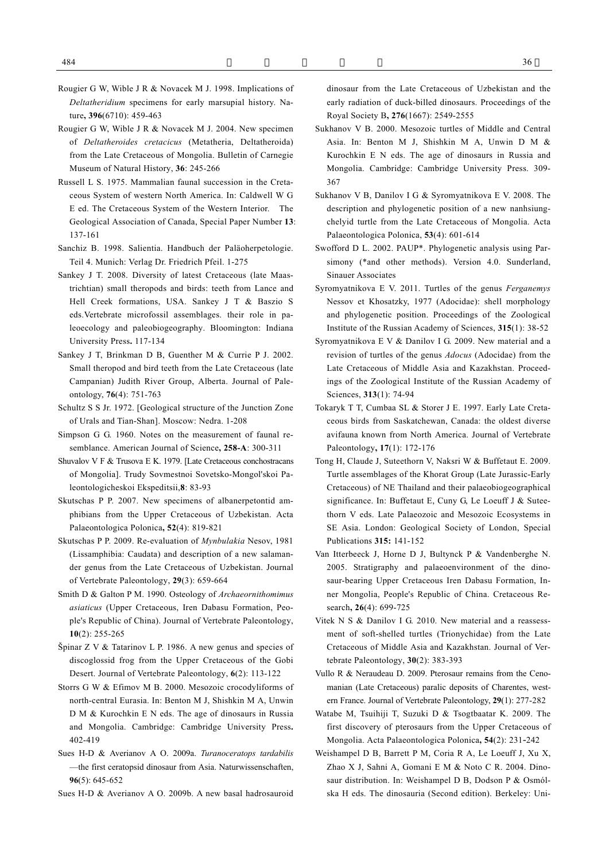- Rougier G W, Wible J R & Novacek M J. 1998. Implications of *Deltatheridium* specimens for early marsupial history. Nature**, 396**(6710): 459-463
- Rougier G W, Wible J R & Novacek M J. 2004. New specimen of *Deltatheroides cretacicus* (Metatheria, Deltatheroida) from the Late Cretaceous of Mongolia. Bulletin of Carnegie Museum of Natural History, **36**: 245-266
- Russell L S. 1975. Mammalian faunal succession in the Cretaceous System of western North America. In: Caldwell W G E ed. The Cretaceous System of the Western Interior. The Geological Association of Canada, Special Paper Number **13**: 137-161
- Sanchiz B. 1998. Salientia. Handbuch der Paläoherpetologie. Teil 4. Munich: Verlag Dr. Friedrich Pfeil. 1-275
- Sankey J T. 2008. Diversity of latest Cretaceous (late Maastrichtian) small theropods and birds: teeth from Lance and Hell Creek formations, USA. Sankey J T & Baszio S eds.Vertebrate microfossil assemblages. their role in paleoecology and paleobiogeography. Bloomington: Indiana University Press**.** 117-134
- Sankey J T, Brinkman D B, Guenther M & Currie P J. 2002. Small theropod and bird teeth from the Late Cretaceous (late Campanian) Judith River Group, Alberta. Journal of Paleontology, **76**(4): 751-763
- Schultz S S Jr. 1972. [Geological structure of the Junction Zone of Urals and Tian-Shan]. Moscow: Nedra. 1-208
- Simpson G G. 1960. Notes on the measurement of faunal resemblance. American Journal of Science**, 258-A**: 300-311
- Shuvalov V F & Trusova E K. 1979. [Late Cretaceous conchostracans of Mongolia]. Trudy Sovmestnoi Sovetsko-Mongol'skoi Paleontologicheskoi Ekspeditsii,**8**: 83-93
- Skutschas P P. 2007. New specimens of albanerpetontid amphibians from the Upper Cretaceous of Uzbekistan. Acta Palaeontologica Polonica**, 52**(4): 819-821
- Skutschas P P. 2009. Re-evaluation of *Mynbulakia* Nesov, 1981 (Lissamphibia: Caudata) and description of a new salamander genus from the Late Cretaceous of Uzbekistan. Journal of Vertebrate Paleontology, **29**(3): 659-664
- Smith D & Galton P M. 1990. Osteology of *Archaeornithomimus asiaticus* (Upper Cretaceous, Iren Dabasu Formation, People's Republic of China). Journal of Vertebrate Paleontology, **10**(2): 255-265
- Špinar Z V & Tatarinov L P. 1986. A new genus and species of discoglossid frog from the Upper Cretaceous of the Gobi Desert. Journal of Vertebrate Paleontology, **6**(2): 113-122
- Storrs G W & Efimov M B. 2000. Mesozoic crocodyliforms of north-central Eurasia. In: Benton M J, Shishkin M A, Unwin D M & Kurochkin E N eds. The age of dinosaurs in Russia and Mongolia. Cambridge: Cambridge University Press**.**  402-419
- Sues H-D & Averianov A O. 2009a. *Turanoceratops tardabilis* —the first ceratopsid dinosaur from Asia. Naturwissenschaften, **96**(5): 645-652
- Sues H-D & Averianov A O. 2009b. A new basal hadrosauroid

dinosaur from the Late Cretaceous of Uzbekistan and the early radiation of duck-billed dinosaurs. Proceedings of the Royal Society B**, 276**(1667): 2549-2555

- Sukhanov V B. 2000. Mesozoic turtles of Middle and Central Asia. In: Benton M J, Shishkin M A, Unwin D M & Kurochkin E N eds. The age of dinosaurs in Russia and Mongolia. Cambridge: Cambridge University Press. 309- 367
- Sukhanov V B, Danilov I G & Syromyatnikova E V. 2008. The description and phylogenetic position of a new nanhsiungchelyid turtle from the Late Cretaceous of Mongolia. Acta Palaeontologica Polonica, **53**(4): 601-614
- Swofford D L. 2002. PAUP\*. Phylogenetic analysis using Parsimony (\*and other methods). Version 4.0. Sunderland, Sinauer Associates
- Syromyatnikova E V. 2011. Turtles of the genus *Ferganemys*  Nessov et Khosatzky, 1977 (Adocidae): shell morphology and phylogenetic position. Proceedings of the Zoological Institute of the Russian Academy of Sciences, **315**(1): 38-52
- Syromyatnikova E V & Danilov I G. 2009. New material and a revision of turtles of the genus *Adocus* (Adocidae) from the Late Cretaceous of Middle Asia and Kazakhstan. Proceedings of the Zoological Institute of the Russian Academy of Sciences, **313**(1): 74-94
- Tokaryk T T, Cumbaa SL & Storer J E. 1997. Early Late Cretaceous birds from Saskatchewan, Canada: the oldest diverse avifauna known from North America. Journal of Vertebrate Paleontology**, 17**(1): 172-176
- Tong H, Claude J, Suteethorn V, Naksri W & Buffetaut E. 2009. Turtle assemblages of the Khorat Group (Late Jurassic-Early Cretaceous) of NE Thailand and their palaeobiogeographical significance. In: Buffetaut E, Cuny G, Le Loeuff J & Suteethorn V eds. Late Palaeozoic and Mesozoic Ecosystems in SE Asia. London: Geological Society of London, Special Publications **315:** 141-152
- Van Itterbeeck J, Horne D J, Bultynck P & Vandenberghe N. 2005. Stratigraphy and palaeoenvironment of the dinosaur-bearing Upper Cretaceous Iren Dabasu Formation, Inner Mongolia, People's Republic of China. Cretaceous Research**, 26**(4): 699-725
- Vitek N S & Danilov I G. 2010. New material and a reassessment of soft-shelled turtles (Trionychidae) from the Late Cretaceous of Middle Asia and Kazakhstan. Journal of Vertebrate Paleontology, **30**(2): 383-393
- Vullo R & Neraudeau D. 2009. Pterosaur remains from the Cenomanian (Late Cretaceous) paralic deposits of Charentes, western France. Journal of Vertebrate Paleontology, **29**(1): 277-282
- Watabe M, Tsuihiji T, Suzuki D & Tsogtbaatar K. 2009. The first discovery of pterosaurs from the Upper Cretaceous of Mongolia. Acta Palaeontologica Polonica**, 54**(2): 231-242
- Weishampel D B, Barrett P M, Coria R A, Le Loeuff J, Xu X, Zhao X J, Sahni A, Gomani E M & Noto C R. 2004. Dinosaur distribution. In: Weishampel D B, Dodson P & Osmólska H eds. The dinosauria (Second edition). Berkeley: Uni-